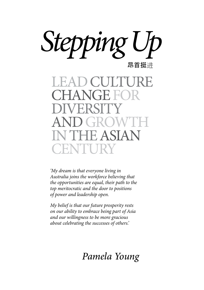

LEADCULTURE HANGE FO DIVERSITY ANDGROWTH IN THEASIAN **CENTURY** 

*'My dream is that everyone living in Australia joins the workforce believing that the opportunities are equal, their path to the top meritocratic and the door to positions of power and leadership open.*

*My belief is that our future prosperity rests on our ability to embrace being part of Asia and our willingness to be more gracious about celebrating the successes of others.'*

## *Pamela Young*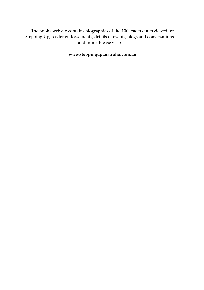The book's website contains biographies of the 100 leaders interviewed for Stepping Up, reader endorsements, details of events, blogs and conversations and more. Please visit:

**[www.steppingupaustralia.com.au](http://www.steppingupaustralia.com.au)**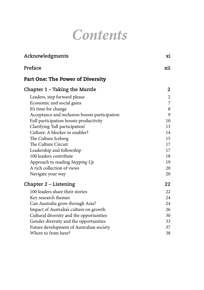## *Contents*

| Acknowledgments                               | xi             |
|-----------------------------------------------|----------------|
| Preface                                       | xii            |
| <b>Part One: The Power of Diversity</b>       |                |
| Chapter 1 - Taking the Mantle                 | $\overline{2}$ |
| Leaders, step forward please                  | $\overline{c}$ |
| Economic and social gains                     | 7              |
| It's time for change                          | 8              |
| Acceptance and inclusion boosts participation | 9              |
| Full participation boosts productivity        | 10             |
| Clarifying 'full participation'               | 13             |
| Culture: A blocker or enabler?                | 14             |
| The Culture Iceberg                           | 15             |
| The Culture Circuit                           | 17             |
| Leadership and followship                     | 17             |
| 100 leaders contribute                        | 18             |
| Approach to reading Stepping Up               | 19             |
| A rich collection of views                    | 20             |
| Navigate your way                             | 20             |
| Chapter 2 – Listening                         | 22             |
| 100 leaders share their stories               | 22             |
| Key research themes                           | 24             |
| Can Australia grow through Asia?              | 24             |
| Impact of Australia's culture on growth       | 26             |
| Cultural diversity and the opportunities      | 30             |
| Gender diversity and the opportunities        | 33             |
| Future development of Australian society      | 37             |
| Where to from here?                           | 38             |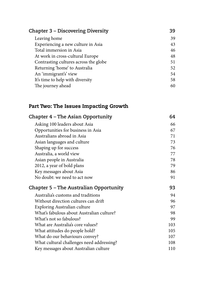| <b>Chapter 3 – Discovering Diversity</b> | 39 |
|------------------------------------------|----|
| Leaving home                             | 39 |
| Experiencing a new culture in Asia       | 43 |
| Total immersion in Asia                  | 46 |
| At work in cross-cultural Europe         | 48 |
| Contrasting cultures across the globe    | 51 |
| Returning 'home' to Australia            | 52 |
| An 'immigrant's' view                    | 54 |
| It's time to help with diversity         | 58 |
| The journey ahead                        | 60 |

### Part Two: The Issues Impacting Growth

| Chapter 4 - The Asian Opportunity         | 64  |
|-------------------------------------------|-----|
| Asking 100 leaders about Asia             | 66  |
| Opportunities for business in Asia        | 67  |
| Australians abroad in Asia                | 71  |
| Asian languages and culture               | 73  |
| Shaping up for success                    | 76  |
| Australia, a world view                   | 77  |
| Asian people in Australia                 | 78  |
| 2012, a year of bold plans                | 79  |
| Key messages about Asia                   | 86  |
| No doubt: we need to act now              | 91  |
| Chapter 5 – The Australian Opportunity    | 93  |
| Australia's customs and traditions        | 94  |
|                                           |     |
| Without direction cultures can drift      | 96  |
| Exploring Australian culture              | 97  |
| What's fabulous about Australian culture? | 98  |
| What's not so fabulous?                   | 99  |
| What are Australia's core values?         | 103 |
| What attitudes do people hold?            | 105 |
| What do our behaviours convey?            | 107 |
| What cultural challenges need addressing? | 108 |
| Key messages about Australian culture     | 110 |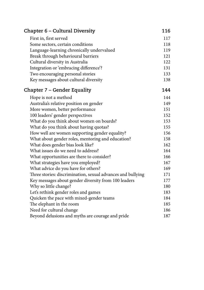| Chapter 6 – Cultural Diversity                              | 116 |
|-------------------------------------------------------------|-----|
| First in, first served                                      | 117 |
| Some sectors, certain conditions                            | 118 |
| Language-learning chronically undervalued                   | 119 |
| Break through behavioural barriers                          | 121 |
| Cultural diversity in Australia                             | 122 |
| Integration or 'embracing difference'?                      | 131 |
| Two encouraging personal stories                            | 133 |
| Key messages about cultural diversity                       | 138 |
| Chapter 7 – Gender Equality                                 | 144 |
| Hope is not a method                                        | 144 |
| Australia's relative position on gender                     | 149 |
| More women, better performance                              | 151 |
| 100 leaders' gender perspectives                            | 152 |
| What do you think about women on boards?                    | 153 |
| What do you think about having quotas?                      | 155 |
| How well are women supporting gender equality?              | 156 |
| What about gender roles, mentoring and education?           | 158 |
| What does gender bias look like?                            | 162 |
| What issues do we need to address?                          | 164 |
| What opportunities are there to consider?                   | 166 |
| What strategies have you employed?                          | 167 |
| What advice do you have for others?                         | 169 |
| Three stories: discrimination, sexual advances and bullying | 171 |
| Key messages about gender diversity from 100 leaders        | 177 |
| Why so little change?                                       | 180 |
| Let's rethink gender roles and games                        | 183 |
| Quicken the pace with mixed-gender teams                    | 184 |
| The elephant in the room                                    | 185 |
| Need for cultural change                                    | 186 |
| Beyond delusions and myths are courage and pride            | 187 |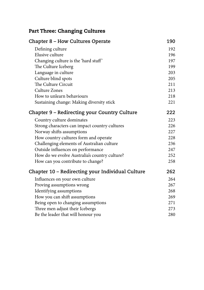### Part Three: Changing Cultures

| Chapter 8 - How Cultures Operate                 | 190 |
|--------------------------------------------------|-----|
| Defining culture                                 | 192 |
| Elusive culture                                  | 196 |
| Changing culture is the 'hard stuff'             | 197 |
| The Culture Iceberg                              | 199 |
| Language in culture                              | 203 |
| Culture blind spots                              | 205 |
| The Culture Circuit                              | 211 |
| <b>Culture Zones</b>                             | 213 |
| How to unlearn behaviours                        | 218 |
| Sustaining change: Making diversity stick        | 221 |
| Chapter 9 - Redirecting your Country Culture     | 222 |
| Country culture dominates                        | 223 |
| Strong characters can impact country cultures    | 226 |
| Norway shifts assumptions                        | 227 |
| How country cultures form and operate            | 228 |
| Challenging elements of Australian culture       | 236 |
| Outside influences on performance                | 247 |
| How do we evolve Australia's country culture?    | 252 |
| How can you contribute to change?                | 258 |
| Chapter 10 - Redirecting your Individual Culture | 262 |
| Influences on your own culture                   | 264 |
| Proving assumptions wrong                        | 267 |
| Identifying assumptions                          | 268 |
| How you can shift assumptions                    | 269 |
| Being open to changing assumptions               | 271 |
| Three men adjust their Icebergs                  | 273 |
| Be the leader that will honour you               | 280 |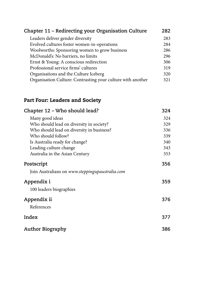| Chapter 11 – Redirecting your Organisation Culture          | 282 |
|-------------------------------------------------------------|-----|
| Leaders deliver gender diversity                            | 283 |
| Evolved cultures foster women-in-operations                 | 284 |
| Woolworths: Sponsoring women to grow business               | 286 |
| McDonald's: No barriers, no limits                          | 296 |
| Ernst & Young: A conscious redirection                      | 306 |
| Professional service firms' cultures                        | 319 |
| Organisations and the Culture Iceberg                       | 320 |
| Organisation Culture: Contrasting your culture with another | 321 |

### Part Four: Leaders and Society

| Chapter 12 – Who should lead?                   | 324 |
|-------------------------------------------------|-----|
| Many good ideas                                 | 324 |
| Who should lead on diversity in society?        | 329 |
| Who should lead on diversity in business?       | 336 |
| Who should follow?                              | 339 |
| Is Australia ready for change?                  | 340 |
| Leading culture change                          | 343 |
| Australia in the Asian Century                  | 353 |
| Postscript                                      | 356 |
| Join Australians on www.steppingupaustralia.com |     |
| Appendix i                                      | 359 |
| 100 leaders biographies                         |     |
| Appendix ii                                     | 376 |
| References                                      |     |
| Index                                           | 377 |
| <b>Author Biography</b>                         | 386 |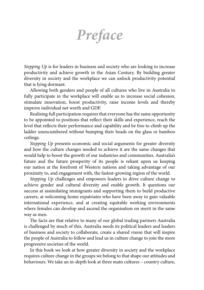# *Preface*

*Stepping Up* is for leaders in business and society who are looking to increase productivity and achieve growth in the Asian Century. By building greater diversity in society and the workplace we can unlock productivity potential that is lying dormant.

Allowing both genders and people of all cultures who live in Australia to fully participate in the workplace will enable us to increase social cohesion, stimulate innovation, boost productivity, raise income levels and thereby improve individual net worth and GDP.

Realising full participation requires that everyone has the same opportunity to be appointed to positions that reflect their skills and experience, reach the level that reflects their performance and capability and be free to climb up the ladder unencumbered without bumping their heads on the glass or bamboo ceilings.

*Stepping Up* presents economic and social arguments for greater diversity and how the culture changes needed to achieve it are the same changes that would help to boost the growth of our industries and communities. Australia's future and the future prosperity of its people is reliant upon us keeping our nation at the forefront of Western nations and taking advantage of our proximity to, and engagement with, the fastest-growing region of the world.

*Stepping Up* challenges and empowers leaders to drive culture change to achieve gender and cultural diversity and enable growth. It questions our success at assimilating immigrants and supporting them to build productive careers, at welcoming home expatriates who have been away to gain valuable international experience, and at creating equitable working environments where females can develop and ascend the organisation on merit in the same way as men.

The facts are that relative to many of our global trading partners Australia is challenged by much of this. Australia needs its political leaders and leaders of business and society to collaborate, create a shared vision that will inspire the people of Australia to follow and lead us in culture change to join the more progressive societies of the world.

In this book we look at how greater diversity in society and the workplace requires culture change in the groups we belong to that shape our attitudes and behaviours. We take an in-depth look at three main cultures – country culture,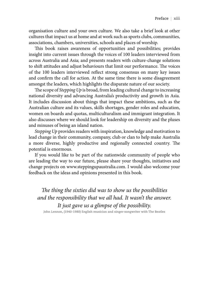organisation culture and your own culture. We also take a brief look at other cultures that impact us at home and at work such as sports clubs, communities, associations, chambers, universities, schools and places of worship.

This book raises awareness of opportunities and possibilities; provides insight into current issues through the voices of 100 leaders interviewed from across Australia and Asia; and presents readers with culture-change solutions to shift attitudes and adjust behaviours that limit our performance. The voices of the 100 leaders interviewed reflect strong consensus on many key issues and confirm the call for action. At the same time there is some disagreement amongst the leaders, which highlights the disparate nature of our society.

The scope of *Stepping Up* is broad, from leading cultural change to increasing national diversity and advancing Australia's productivity and growth in Asia. It includes discussion about things that impact these ambitions, such as the Australian culture and its values, skills shortages, gender roles and education, women on boards and quotas, multiculturalism and immigrant integration. It also discusses where we should look for leadership on diversity and the pluses and minuses of being an island nation.

*Stepping Up* provides readers with inspiration, knowledge and motivation to lead change in their community, company, club or clan to help make Australia a more diverse, highly productive and regionally connected country. The potential is enormous.

If you would like to be part of the nationwide community of people who are leading the way to our future, please share your thoughts, initiatives and change projects on www.steppingupaustralia.com. I would also welcome your feedback on the ideas and opinions presented in this book.

*The thing the sixties did was to show us the possibilities and the responsibility that we all had. It wasn't the answer. It just gave us a glimpse of the possibility.* 

**John Lennon, (1940-1980) English musician and singer-songwriter with The Beatles**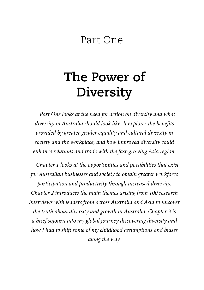### Part One

# **The Power of Diversity**

*Part One looks at the need for action on diversity and what diversity in Australia should look like. It explores the benefits provided by greater gender equality and cultural diversity in society and the workplace, and how improved diversity could enhance relations and trade with the fast-growing Asia region.*

*Chapter 1 looks at the opportunities and possibilities that exist for Australian businesses and society to obtain greater workforce participation and productivity through increased diversity. Chapter 2 introduces the main themes arising from 100 research interviews with leaders from across Australia and Asia to uncover the truth about diversity and growth in Australia. Chapter 3 is a brief sojourn into my global journey discovering diversity and how I had to shift some of my childhood assumptions and biases along the way.*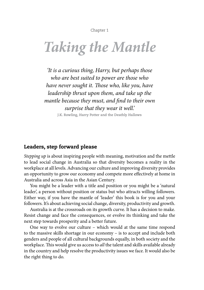Chapter 1

# <span id="page-10-0"></span>*Taking the Mantle*

*'It is a curious thing, Harry, but perhaps those who are best suited to power are those who have never sought it. Those who, like you, have leadership thrust upon them, and take up the mantle because they must, and find to their own surprise that they wear it well.'*

**J.K. Rowling, Harry Potter and the Deathly Hallows**

#### Leaders, step forward please

*Stepping up* is about inspiring people with meaning, motivation and the mettle to lead social change in Australia so that diversity becomes a reality in the workplace at all levels. Advancing our culture and improving diversity provides an opportunity to grow our economy and compete more effectively at home in Australia and across Asia in the Asian Century.

You might be a leader with a title and position or you might be a 'natural leader', a person without position or status but who attracts willing followers. Either way, if you have the mantle of 'leader' this book is for you and your followers. It's about achieving social change, diversity, productivity and growth.

Australia is at the crossroads on its growth curve. It has a decision to make. Resist change and face the consequences, or evolve its thinking and take the next step towards prosperity and a better future.

One way to evolve our culture – which would at the same time respond to the massive skills shortage in our economy – is to accept and include both genders and people of all cultural backgrounds equally, in both society and the workplace. This would give us access to *all* the talent and skills available already in the country and help resolve the productivity issues we face. It would also be the right thing to do.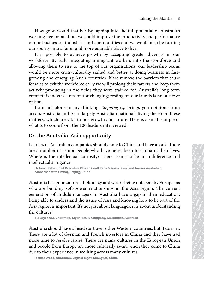How good would that be? By tapping into the full potential of Australia's working-age population, we could improve the productivity and performance of our businesses, industries and communities and we would also be turning our society into a fairer and more equitable place to live.

The grood vested that be? By trapping into the full potential of Andrahia<br>sweding, age population, we could improve the productivity and performance<br>of or business, and storic and convenients on development of the state i These good vouid that be? By topping into the full potential of Australia's wording or productions of our biometers and to componenties and correlate and correlate and correlate and correlate and correlate and correlate a Theirs good would that he? By tapping into the full potential of Australia's or of the proference of the productive and proference of the productive particular portions are considered to the most productive particular pol The course of the controller internal of the controller of the controller propare of the propare of the controller of the controller of the controller of the controller of the controller controller and the controller cont Tabov good would that be? By tapping into the full potential of Australia's or of our businesses, industries and communities and we would also be turning our coefforce, by infly integrating lumingrant vectors, the worldoc Their proper count of the state of the state of the state of the control of the product of the product of the product of the control of the control of the control of the control of the control of the control of the contro Tabling, the Mantle | 3<br>
Since groom based in the control interpret the productivity and greeformance<br>
stroken is no former and more equoted interpret at lives.<br>
The production of the format on the solute of the control in The model of that bee By tapping into the full potential of Australia's consequently in a consequently in a consequently and performance of the positive product product productive productions (and the positive production ( Taking the Manthe | 3<br>
gaot population, we could improve the productivity and performance<br>
straights into a faire could more equidable place to live.<br>
geoting the could subsed be turning<br>
geoting in a faire could by accep Taking the Mantule | 3<br>
consequences Cuotes Cuotes Cuotes Quotes Quotes Quotes Quotes Quotes Quotes Quotes Quotes Quotes Quotes Quotes Quotes Quotes Quotes Quotes Quotes Quotes Quotes Quotes Quotes Quotes Quotes Quotes Quo Theirs can do that be? By tapping into the full potential of Australia's consequently and componently product with productive productive productive productive and more equotially place to like the model in the solution of Taking the Manube | 3<br>
rocal dimpose the productivity and performance<br>
notes a industries and communities and we would also be turning<br>
the for achieve growth by accepting greater diversity in our<br>
notes a finite and none Taking the Manthe | 3<br>
conductively and componenties and we would also be turning<br>
a nativer and more constrable place to live.<br>
Le to achieve growth by accepting greater diversity in our<br>
fully integrating immigrant work Taking the Mandle | 3<br>
cs, includiven and communities and we would calo be turning<br>
is, includiven and communities and we would calo be turning<br>
to conduce growth by accepting guester diversity in our<br>
to schee guote Quot To<br>king the Mantle  $\parallel$  3 To this conductively and performance in the world and the world and be terming in<br>duratives and communities and the world also be terming a<br>inter and world and better at doing business in four-<br>p Taking the Mantle  $|3$ <br>
Taking the productivity and performance<br>
didurities and communities and we would also be turning<br>
derivative agreed (see to live,<br>
reading the and the state of verivaly in complements and the solut Taking the Mantle | 3<br>
and the could improve the productivity and performance<br>
and more equidable place to live.<br>
the could also be turning<br>
chieve grooth by accepting great rdiversity in our<br>
telegrating immigrant workers Taking the Mantle | 3<br>
the coord improve the productivity and performance<br>
strate and communities and we would also be turning<br>
interes and communities and we would also be turning<br>
interes growth by accepting greater dir Taking the Marite | 3<br>
be? By tapping into the productivity and performance<br>
tes condition and we would also be turning<br>
and convertable place to live,<br>
a domen countides and we bout also be turning<br>
testing in our computa Taking the Mantle | 3<br>
could improve the productivity and performance<br>
some could also be turning<br>
some could also be turning<br>
more equivable place to live.<br>
growth by accepting greater diversity in our<br>
tering immigrant v Taking the Mantle | 3<br>
By tapping into the full potential of Australia's<br>
and communities and we would also be turning<br>
nore equitable place to live.<br>
growth by accepting greater diversity in our<br>
top fo our organisations, Taking the Mantle | 3<br>
Or approach and communities and we would also be turning<br>
ere cequitable place to live-would also be turning<br>
ere cequitable place to live-would also be turning<br>
promptant workers in to the workforce Taking the Mantle | 3<br>
dimprove the productivity and performance<br>
communities and we would also be turning<br>
equitable place to live.<br>
wrth by accepting greater diversity in our<br>
minigrations, our leadership teams<br>
soluted Taking the Mantle | 3<br>simprove the productivity and performance<br>ommunities and we would also be turning<br>quutable place to live.<br>The by accepting greater diversity in our<br>migrant workers into the workforce and<br>follow rogani Taking the Mantle | 3<br>
mignalities and we would also be turning<br>
minulies and we would also be turning<br>
uitable place to live.<br>
by accepting greater diversity in our<br>
our organisations, our leadership teams<br>
corres and the Taking the Mantle | 3<br>
orove the productivity and performance<br>
munities and we would also be turning<br>
typ accepting greater diversity in our<br>
tyr accepting greater diversity in our<br>
grant workers into the workforce and<br>
al Taking the Mantle  $\vert$  3<br>
guote the productivity and performance<br>
unities and we would also be turning<br>
ble place to live.<br>
2 or cognitions, our leadership teams<br>
and better at doing business in fast-<br>
1 or expansions, ou into the full potential of Australia's<br>
ethe productivity and performance<br>
tristics and we would also be turning<br>
caccepting greater diversity in our<br>
accepting greater diversity tin our<br>
accepting logenter diversity duots to the full potential of Australia's<br>the productivity and performance<br>ics and we would also be turning<br>vorkers into the workforce and<br>paraisations, our leadership teams<br>better at doing business in fast-<br>better at doing bus of the full potential of Australia's<br>
e productivity and performance<br>
sand we would also be turning<br>
acce to live.<br>
conterts at doing bustiness in fast-<br>
ermore the branies and instant cause<br>
ermore the barriers that cause Taking the Mantle | 3<br>
productivity and performance<br>
and we would also be turning<br>
tring tring eract diversity in our<br>
rethers into the workforce and<br>
trer at doing business in fast-<br>
trer at doing business in fast-<br>
enro e full potential of Australia's<br>coductivity and performance<br>not we would also be turning<br>to live.<br>there are diversify in our<br>more the bursting business in fast-<br>there are doing business in fast-<br>cuotes bursting and accuote Taking the Mantle | 3<br>
dull potential of Australia's<br>
ductivity and performance<br>
live.<br>
Il geneate diversity in our<br>
sy treater diversity in our<br>
art doing business in fast-<br>
the barriers that cause<br>
their carres and keep Les Couotes Cuotes Cuotes Cuotes Cuotes Cuotes Cuotes Cuotes Cuotes Cuotes Cuotes Cuotes Cuotes Cuotes Cuotes Cuotes Cuotes Cuotes Cuotes Cuotes Cuotes Cuotes Cuotes Cuotes Cuotes Cuotes Cuotes Cuotes Cuotes Cuotes Cuotes Positivity and performance<br>
would also be turning<br>
2.<br>
cater diversity in our<br>
to the workforce and<br>
to uu teadership teams<br>
careers and keep them<br>
7. Australia's long-term<br>
r laurels is not a clever<br>
gs you opinions from vity and performance<br>could also be turning<br>other diversity in our<br>other workforce and<br>our leadership teams<br>have barriers that cause<br>are barriers that cause<br>are are are all some decrement and a dever<br>s you opinions from<br>inv ential of Australia's<br>ty and performance<br>uld also be turning<br>er diversity in our<br>the workforce and<br>ureladership teams<br>genus and keep them<br>terms and keep them<br>you opinions from<br>ing there) on these<br>s a small sample of<br>d have and performance<br>
d also be turning<br>
diversity in our<br>
leadership teams<br>
leadership teams<br>
leaders and keep them<br>
tralia's long-term<br>
reals is not a clever<br>
ou opinions from<br>
gue there are a small sample of<br>
a small sample ial of Australia's<br>
nd performance<br>
also be turning<br>
iversity in our<br>
workforce and<br>
acadership teams<br>
susiness in fast-<br>
riers that cause<br>
same keep them<br>
alia's long-term<br>
ls is not a clever<br>
opinions from<br>
there on thes persity in our vorkforce and<br>siness in fast-<br>iers that cause<br>in fast-<br>in fast-<br>in fact cause<br>propinions from<br>nere) on these<br>nearly on these<br>all sample of<br>each. There in their lives duotes and<br>inference and<br> $\begin{bmatrix} \circ \\ \circ \\ \circ \\$ es Cuotes Cuotes Cuotes Cuotes Cuotes Cuotes Cuotes Cuotes Cuotes Cuotes Cuotes Cuotes Cuotes Cuotes Cuotes Cuotes Cuotes Cuotes Cuotes Cuotes Cuotes Cuotes Cuotes Quotes Quotes Quotes Quotes Quotes Quotes Quotes Quotes Qu It is possible to achieve growth by accepting greater diversity in our workforce. By fully integrating immigrant workers into the workforce and allowing them to rise to the top of our organisations, our leadership teams would be more cross-culturally skilled and better at doing business in fastgrowing and emerging Asian countries. If we remove the barriers that cause females to exit the workforce early we will prolong their careers and keep them actively producing in the fields they were trained for. Australia's long-term competitiveness is a reason for changing; resting on our laurels is not a clever option.

I am not alone in my thinking. *Stepping Up* brings you opinions from across Australia and Asia (largely Australian nationals living there) on these matters, which are vital to our growth and future. Here is a small sample of what is to come from the 100 leaders interviewed.

#### **On the Australia–Asia opportunity**

Leaders of Australian companies should come to China and have a look. There are a number of senior people who have never been to China in their lives. Where is the intellectual curiosity? There seems to be an indifference and intellectual arrogance.

Dr Geoff Raby, Chief Executive Officer, Geoff Raby & Associates (and former Australian Ambassador to China), Beijing, China

Australia has poor cultural diplomacy and we are being outspent by Europeans who are building soft-power relationships in the Asia region. The current generation of middle managers in Australia have a gap in their education: being able to understand the issues of Asia and knowing how to be part of the Asia region is important. It's not just about languages; it is about understanding the cultures.

Sid Myer AM, Chairman, Myer Family Company, Melbourne, Australia

Australia should have a head start over other Western countries, but it doesn't. There are a lot of German and French investors in China and they have had more time to resolve issues. There are many cultures in the European Union and people from Europe are more culturally aware when they come to China due to their experience in working across many cultures.

Joanne Wood, Chairman, Capital Eight, Shanghai, China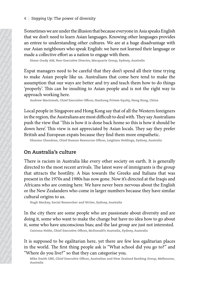Sometimes we are under the illusion that because everyone in Asia speaks English that we don't need to learn Asian languages. Knowing other languages provides an entree to understanding other cultures. We are at a huge disadvantage with our Asian neighbours who speak English: we have not learned their language or made a collective effort as a nation to engage with them.

Diane Grady AM, Non-Executive Director, Macquarie Group, Sydney, Australia

Expat managers need to be careful that they don't spend all their time trying to make Asian people like us. Australians that come here tend to make the assumption that our ways are better and try and teach them how to do things 'properly'. This can be insulting to Asian people and is not the right way to approach working here.

Andrew Macintosh, Chief Executive Officer, Hanhong Private Equity, Hong Kong, China

Local people in Singapore and Hong Kong say that of all the Western foreigners in the region, the Australians are most difficult to deal with. They say Australians push the view that 'This is how it is done back home so this is how it should be down here'. This view is not appreciated by Asian locals. They say they prefer British and European expats because they find them more empathetic.

Dharma Chandran, Chief Human Resources Officer, Leighton Holdings, Sydney, Australia

#### **On Australia's culture**

Music Cuotes Quotes Quotes Quotes Quotes Quotes Quotes Quotes Quotes Quotes Quotes Quotes Quotes Quotes Quotes Quotes Quotes Quotes Quotes Quotes Quotes Quotes Quotes Quotes Quotes Quotes Quotes Quotes Quotes Quotes Quote M using the step of the step of the step of the state duotes and the state of the condensitating of the suote of the state of the state and a collective effort as a nation binne Grady AM, Non-Executive Direction as a nati 4 | Stepping Up: The power of diversemult of the control of the control of the control of the control of the control of the control of the matter to make Asian propel like us. An assumption that our ways are betted to be 4 | Stepping Up: The power of diversity Sometimes we are under the illusion that we don't head a collective effort as a nation to ellustra and interest quotes Cuotes and an explodent control binne Guotes Auotion to make A 4 Stepping Up: The power of diversis Sometimes we are under the illusion that we don't need to uderstanding other our Asian neighbours who speak Ernal are and to mismogenes need to be careful to make Asian people like us. 4 | Stepping Up: The power of diversity Sometimes we are under the illusion that we dont near Asian negphouse who speak Englis made a collective effort as a nation to ering buotes Cuotes Auotion and the control of the mat 4 | Stepping Up: The power of diversity<br>
Sometimes we are under the illusion that<br>
that we don't need to learn Asian languag<br>
and enter to understanding other culture<br>
our Asian neighbouss who speake Rugilian<br>
made a coll 4 | Stepping Up: The power of diversity Sometimes we are under the illusion that beea that median neglibours who speak English : we can Asian neglibours who speak English : we can conclude Asian proper line Graph and a co 4 Stepping Up: The power of diversity Sometimes we are doted the dilusion that because that we don't need to locarn Asian ingluotes who speak English: we link are distinguished with the station to engage varianes and colu 4 Stepping Up: The power of diversity Sometimes we are under the illusion that because that we dont need to learn Asian languages. Know our Asian neighbours who speak kinglish: we have made a collective effort as a nation 4 | Stepping Up: The power of diversity Sometimes we are under the illusion that because that we don't need to locar Asian lengtons who speak English: we how to passe a Replation whose Duotes Cuotes Quotes Quotes Quotes Q 4 | Stepping Up: The power of diversity<br>
Sometimes we are under the illusion that because chart word the control of the control of the control of the control of the control of the control of the control of the control of 4 | Stepping Up: The power of diversity Sometimes we are under the illusion that because. Veca are that we don't need to understanding other callumes. We are youn our Asian neighbours who speak linglish: we have our mode 4 | Stepping Up: The power of diversity<br>
Sometimes. We are at a the control condition and the column are complementared and percel to medical complementarility of the condition of the page with them and a condition of the 4 | Steeping Up: The power of diversity<br>
Sometimes we are an der the illusion that because everyons that we don't need to lone<br>This and an eigentical ingo the cultures. We are at a he one to lone and a collective effort a 4 Steeping (ip: The power of diversity Somchina because cocryones in that we don't need to learn Asian languages. Knowing other 1 on that we don't need to locat Asian need and the colubes We at a study on the contes as a 4 Steeping Up: The power of diversity Some<br>idian (solar Asian longings). Rooviery of the and the solar diversion and the same of the control median conditions of the quotes Auotical properties and the control of parameter 4 Stepping (ip: The power of diversity Somchina hosts coveryons in that we don't need to locarn Asian languages. Knowing other I on rature to understanding other a wears a negate vinto the case of a such the case of the c 4 | Stepping Up: The power of diversity<br>
Sometimes weare the add to learn Asian inaquegas. Krowing direle transdation<br>
and an enteret to understanding other celutings. We are at a huge d<br>
out Asian neighbours who speak Em 4 | Stepping Up: The prower of diversity<br>
Sometimes, Korowing other dampages, Korowing other dampages Amovemus<br>
and weak on the data of dam Axian languages. Korowing other dampages and<br>
out Axian neighbouss who speaks Len 4 | Stepping Up: The power of diversity<br>
Sometimes We are alt and happengas. Krewwing their happengas (also<br>
and mediator do locar Asian Inequages. Krewwing their happengas (also<br>
our Asian neighbouse who speeds English: 4 Stepping Up: The power of diversity Some<br>citares Comparation (Internal choicen Assau a progresse. New more solice a<br>relations on the case of the control of column anguotes Cupitative where a<br>note also meeting of the cuo 4 Stepping Op: The power of diversity Some<br>images. Knowing olehr and almogens. Knowing olehr and almost a followed a<br>state and the set a simple policies and the state duotes and the state duotes duotes duotes duotes Cuote 4 (Stepring Up: The power of circuits) Sometimes we are under the distant and contain Asia along asses. Kowing other data parallel in the double contain Singlin and Hamilton the heat of the anisother distant and the doubl 4 Stepsing Up: The power of diversity<br>
Sometimes we are alloged as following duote and other alloged as following due that the dotto and the definite duotes duotes duotes duotes and the duotes Cuotes Auoting to the calinea There is racism in Australia like every other society on earth. It is generally directed to the most recent arrivals. The latest wave of immigrants is the group that attracts the hostility. A bias towards the Greeks and Italians that was present in the 1970s and 1980s has now gone. Now it's directed at the Iraqis and Africans who are coming here. We have never been nervous about the English or the New Zealanders who come in larger numbers because they have similar cultural origins to us.

Hugh Mackay, Social Researcher and Writer, Sydney, Australia

In the city there are some people who are passionate about diversity and are doing it, some who want to make the change but have no idea how to go about it, some who have unconscious bias; and the last group are just not interested.

Catriona Noble, Chief Executive Officer, McDonald's Australia, Sydney, Australia

It is supposed to be egalitarian here, yet there are few less egalitarian places in the world. The first thing people ask is "What school did you go to?" and "Where do you live?" so that they can categorise you.

Mike Smith OBE, Chief Executive Officer, Australian and New Zealand Banking Group, Melbourne, Australia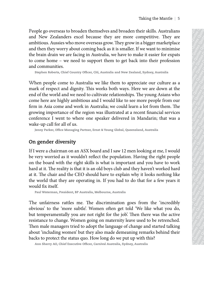People go overseas to broaden themselves and broaden their skills. Australians and New Zealanders excel because they are more competitive. They are ambitious. Aussies who move overseas grow. They grow in a bigger marketplace and then they worry about coming back as it is smaller. If we want to minimise the brain drain we are facing in Australia, we have to make it easier for expats to come home – we need to support them to get back into their profession and communities.

Stephen Roberts, Chief Country Officer, Citi, Australia and New Zealand, Sydney, Australia

People go merrican to broaden the<br>ansalves and broaden their disk, startinian and New Zealmoins excel because they are more compatible. Auxilian<br>and New Zealmoins cecels because they are more compatible. Auxilian<br>and New This proping the Month of the Couote Cuotes Cuotes Cuotes Cuotes Cuotes Cuotes Cuotes Cuotes Cuotes Cuotes Quotes Cuotes Quotes Quotes Quotes Quotes Quotes Quotes Quotes Quotes Quotes Quotes Quotes Quotes Quotes Quotes Qu The context of the context of the context of the context of the match ( $\alpha$ ) and the context of the match of the context of the context of the context of the context of the context of the context of the context of the con The payable goovernears to broaden the<br>measure and bread chore and the sympath control to the payable and the<br>the thermal control to the sympath control to the sympath control to the<br>sympathe and the measure of the sympat Training the Manthe | 5<br>
Training New Zeslation's excel the cuote Quotes Que pro the most competitive. They are most competitive to the simulate of the properties of the simulate of the simulate of the simulate of the sim Taking the Mantle | 5<br>
New Zealanders each decause the yare more competitive. They are the<br>different Zaudin New orient provides the yare competitive. They are the<br>different alone that the consistent provides a lass symbol Taking the Mantle | 5<br>
New Zealanders excel because they are more competitive. They are more competitive and the<br>suitable competitive and the sail simular II we want to mainting<br>the main person of the sail simular (i.e. we Taking the Matthe | 5<br>
New Vecklanders & coef because they are more competitive. They are<br>non-Kny and the model of the smaller If we want to minister and the<br>smaller of the smaller (Figuote Theorem and the model of the sma Taking the Mantde | 5<br>
20 overseas the broaders recel because they are over competitive. They are more competitive, they are more competitive, they are more competitive, they are more competible and the subset complex as Taking the Mant<br/>U $\leq$  Scalis of Scalis Correlates they wore competitive. They are the<br/>consider the most competitive, they want to minimize the most competitive<br/>West Correlate Chorea Cuotes Cuotes Cuotes Cuote Theirs chose of the model is the sympabor of the sympabor scale and the sympabor scale of the sympabor scale of the sympabor scale and the sympabor scale and the sympabor scale and the sympabor scale channel in the sympab Taking the Manube | 5<br>
States and broaden theme area of mean on competitive. They are notes Quotes Quotes Quotes Quotes Quotes Quotes Quotes Quotes Quotes Quotes Quotes Quotes Quotes Quotes Quotes Quotes Quotes Quotes Quo Taking the Manthe  $|5$ <br>
Since who more corrected because they are more competitive. They are more competitive and<br>
were an focing in Australia, we have to make it easies for expansion<br>
we are facting in Australia, we have Taking the Mande  $|\cdot$ 5<br>
Taking the Save University are more competitive. They are more competitive. They are more competitive, the growth in doget makes the asset for the systems of the competent of the systems of the com To king the Mantle  $|$  5<br>
on those overseas grows they grow in a bigger matching are a computed by the and the match in the transition of<br>
a proportion and the match in the transition of the same of the same of match in t Taking the Mantle  $|5$ <br>
To brow coverase grow. They are more competitive. They are<br>
no now coveras grow. They gene in a slogar matching<br>accuracy disorder and the parameter factor of the state of the state of the<br>
re facin Taking the Mantle  $|$  5<br>
not coveragus grows they grow in abiger markelplace<br>
not coming back as it is smaller. If we want to minimise<br>
facing in Australia, we have to make it easier for expans<br>
facing in Australia, we ha Taking the Mantle | 5<br>
Tot because they are nore competitive. They are<br>
move overcosa grow. They grow in a bigger maticchplace<br>
not coming back as it is smaller. If we want to minimise<br>
eign in Australia, we have to make i Taking the Maritle | 5<br>
concerverseas grows They grow in a bigger market<br>place Correlation Cuotes Quotes Quotes Quotes Cuotes Quotes Quotes Quotes Quotes Quotes Quotes Quotes Quotes Quotes Quotes Quotes Quotes Quotes Quote Taking the Mantle | 5<br>
1 because they are more competitive. They are<br>
coming back as it is smaller. If we want to minimise<br>
g in Australia, we have to make it easier for expast<br>
comport them to get hack into their professi Taking the Mantle | 5<br>
bocascas prow, 'lhey grow in a bigger matket]eace<br>
ming back as it is smaller. If we want to minimise<br>
in Australia, we have to make it easier for expass<br>
support them to get back into their professi Taking the Mantle | 5<br>
creases grow They grow in a bigger marketplace<br>
creases grow They grow in a bigger marketplace<br>
Australia, we have to make it easier for expats<br>
choustralia, we have to make it easier for expats<br>
eny Taking the Mantle | 5<br>
ensures they are more competitive. They remove Competitive Quotes Quotes at its smaller. If we want to minimise<br>
sustraining, we have to make it teasier for expats<br>
poper them to get back into their Taking the Mantle | 5<br>
snee they are more competitive. They are<br>
back as it is smaller. If we want to minimise<br>
back as it is smaller. If we want to minimise<br>
stralia, we have to make it easier for expats<br>
at, Australia an Taking the Mantle | 5<br>
relves are more competitive. They are<br>
are they are more competitive. They are<br>
ack as it is smaller. If we want to minimise<br>
radia, we have to make it casier for cxpats<br>
them to get back into their Taking the Mantle | 5<br>
Regrow They grow in a bigger marketplace<br>
Results, we have to make it reasier for expats<br>
then to get back into their profession<br>
that is smaller. However, we denote the same of the state of the<br>
sta Taking the Mantle  $|$  5<br>
Sus and broaden their sixtlis. Australians<br>
Sus it is smaller. If we want to minimise<br>
a, we have to make it easier for expass<br>
and we keeling the want to minimise<br>
mula and New Zealand, Sydney, A and broaden their skills. Australians<br>
y are more competitive. They are<br>
it is smaller. If we want to minimise<br>
it is smaller. If we want to minimise<br>
the and vew zealand, sydney, Australia<br>
them to get back into their pro d broaden their skills. Australians<br>
are more competitive. They are<br>
They grow in a bigger marketplace<br>
is smaller. If we want to minimise<br>
to get back into their profession<br>
and New Zealand, sydney, Australia<br>
and New Zea broaden their skills. Australians<br>
Free more competitive. They are<br>
hey grow in a bigger market<br>place<br>
smaller. If we want to minimise<br>
or get back into their profession<br>
or det hack into their profession<br>
or det hack int Taking the Mantle | 5<br>
roaden their skills. Australians<br>
more competitive. They are<br>
over to make it easier for expats<br>
get back into their profession<br>
New Zealand, Sydney, Australia<br>
to appreciate our culture as a<br>
vary, paden their skills. Australians<br>
grow in a bigger marketplace<br>
grow in a bigger marketplace<br>
to make it easier for expats<br>
to back into their profession<br>  $\frac{1}{2}$  work also also more proplements<br>
appreciate our culture a Taking the Mantle | 5<br>
Den their skills. Australians<br>
Dror competitive. They are<br>
Den in a bigger marketplace<br>
Leler. If we want to minimise<br>
back into their profession<br>  $z \neq z$ <br>
zealand, sydney, Australia<br>
appreciate our e competitive. They are with a bigger market<br>Phale want to minimise  $\frac{1}{2}$  and the veart to minimise and the theories due that in the state of the state of the state of the state of the state of the state of the state Competitive. They are  $\frac{1}{2}$  and a bigger marketplace of  $\frac{1}{2}$  and  $\frac{1}{2}$  and  $\frac{1}{2}$  and  $\frac{1}{2}$  and  $\frac{1}{2}$  and  $\frac{1}{2}$  and  $\frac{1}{2}$  and  $\frac{1}{2}$  and  $\frac{1}{2}$  and  $\frac{1}{2}$  and  $\frac{1}{2}$  and  $\frac{1}{2$ ompetitive. They are<br>
a a bigger marketplace<br>
ive want to miminise the carre for expans<br>
into their profession<br>
d, sydney, Australia<br>
ciate our culture as a<br>
e we are down at the<br>
he young Asians who<br>
nore people from our It is kills. Australians<br>
Subgree market phace are also their profession<br>  $\frac{1}{2}$  is te casier for expats<br>
and the their profession<br>
sydney, Australia<br>
at e our culture as a<br>
we are down at the<br>  $\frac{1}{2}$  y  $\frac{1}{2}$  y Detitive. They are gager marketplace<br>
vant to minimise<br>
t easier for expats<br>
of their profession<br>
due, Australia<br>
e our culture as a<br>
e are down at the<br>
people from our<br>
strom them. The<br>
from them. The<br>
from them. The<br>
fro s and the strain in the strain of the strain of the strain of the strain of the strain of the strain of the strain of the strain of the strain of the strain of the strain of the strain of the strain of the strain of the st Next to minimise<br>
Series profession<br>  $\begin{array}{c}\n\text{A} \text{a} \text{U} \text{a} \text{u} \text{b} \text{c} \text{d} \text{d} \text{d} \text{c} \text{d} \text{d} \text{e} \text{d} \text{d} \text{d} \text{d} \text{e} \text{d} \text{d} \text{e} \text{d} \text{d} \text{e} \text{d} \text{d} \text{e} \text{d} \text{d} \text{e} \text{d} \text{d} \text{e} \text{d} \$ Cuotes Cuotes Cuotes Cuotes Quotes Quotes Quotes Quotes Quotes Quotes Quotes Quotes Quotes Quotes Quotes Quotes Quotes Quotes Quotes Quotes Quotes Quotes Quotes Quotes Quotes Quotes Quotes Quotes Quotes Quotes Quotes Quote **Purces Authorizes Authorizes Authorizes Authorizes Authorizes Authorizes Authorizes Authorizes Authorizes Authorizes Quotes Quotes Quotes Quotes Quotes Quotes Quotes Quotes Quotes Quotes Quotes Quotes Quotes Quotes Quote** When people come to Australia we like them to appreciate our culture as a mark of respect and dignity. This works both ways. Here we are down at the end of the world and we need to cultivate relationships. The young Asians who come here are highly ambitious and I would like to see more people from our firm in Asia come and work in Australia; we could learn a lot from them. The growing importance of the region was illustrated at a recent financial services conference I went to where one speaker delivered in Mandarin; that was a wake-up call for all of us.

Jenny Parker, Office Managing Partner, Ernst & Young Global, Queensland, Australia

#### **On gender diversity**

If I were a chairman on an ASX board and I saw 12 men looking at me, I would be very worried as it wouldn't reflect the population. Having the right people on the board with the right skills is what is important and you have to work hard at it. The reality is that it is an old boys club and they haven't worked hard at it. The chair and the CEO should have to explain why it looks nothing like the world that they are operating in. If you had to do that for a few years it would fix itself.

Paul Waterman, President, BP Australia, Melbourne, Australia

The unfairness rattles me. The discrimination goes from the 'incredibly obvious' to the 'more subtle'. Women often get told 'We like what you do, but temperamentally you are not right for the job'. Then there was the active resistance to change. Women going on maternity leave used to be retrenched. Then male managers tried to adopt the language of change and started talking about 'including women' but they also made demeaning remarks behind their backs to protect the status quo. How long do we put up with this?

Ann Sherry AO, Chief Executive Officer, Carnival Australia, Sydney, Australia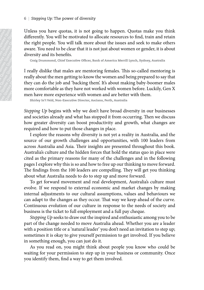Unless you have quotas, it is not going to happen. Quotas make you think differently. You will be motivated to allocate resources to find, train and retain the right people. You will talk more about the issues and seek to make others aware. You need to be clear that it is not just about women or gender, it is about diversity and its benefits.

Craig Drummond, Chief Executive Officer, Bank of America Merrill Lynch, Sydney, Australia

I really dislike that males are mentoring females. This so-called mentoring is really about the men getting to know the women and being prepared to say that they can do the job and 'backing them'. It's about making baby-boomer males more comfortable as they have not worked with women before. Luckily, Gen X men have more experience with women and are better with them.

Shirley In't Veld, Non-Executive Director, Asciano, Perth, Australia

*Stepping Up* begins with why we don't have broad diversity in our businesses and societies already and what has stopped it from occurring. Then we discuss how greater diversity can boost productivity and growth, what changes are required and how to put those changes in place.

**Example 19** and the diffusion of the diffusion of the conduction of the conduction of the conduction of the conduction of the conduction of the conduction of the conduction of the conduction of the diffusion of the diffu  $\begin{array}{c} 6 \ \text{L} \\ \hline \text{C} \\ \text{C} \\ \text{D} \\ \text{d} \\ \text{d} \\ \text{d} \\ \text{d} \\ \text{d} \\ \text{d} \\ \text{e} \\ \text{f} \\ \text{g} \\ \text{h} \\ \text{h} \\ \text{h} \\ \text{h} \\ \text{h} \\ \text{h} \\ \text{h} \\ \text{h} \\ \text{h} \\ \text{h} \\ \text{h} \\ \text{h} \\ \text{h} \\ \text{h} \\ \text{h} \\ \text{h} \\ \text{h} \\ \text{h} \\ \text{h} \\ \text{h} \\ \text{h} \\ \text{$ Q uotes Quotes Quotes Quotes Quotes Quotes Quotes Quotes Quotes Quotes Quotes Quotes Quotes Quotes Quotes Quotes Quotes Quotes Quotes Quotes Quotes Quotes Quotes Quotes Quotes Quotes Quotes Quotes Quotes Quotes Quotes Quotes  $\begin{array}{c|c} \n6 & \text{Step} & \text{Unless} \\ \n7 & \text{Unless} & \text{difference} & \text{the right} \\ \n8 & \text{average} & \text{average} & \text{average} \\ \n9 & \text{average} & \text{negative} & \text{average} \\ \n1 & \text{regular} & \text{three} & \text{more} \\ \n2 & \text{average} & \text{average} & \text{average} \\ \n3 & \text{average} & \text{average} & \text{average} \\ \n4 & \text{average} & \text{average} &$  $\begin{array}{c} \n\begin{array}{c}\n\text{S} \\
\text{S} \\
\text{S} \\
\text{S} \\
\text{S} \\
\text{S} \\
\text{S} \\
\text{S} \\
\text{S} \\
\text{S} \\
\text{S} \\
\text{S} \\
\text{S} \\
\text{S} \\
\text{S} \\
\text{S} \\
\text{S} \\
\text{S} \\
\text{S} \\
\text{S} \\
\text{S} \\
\text{S} \\
\text{S} \\
\text{S} \\
\text{S} \\
\text{S} \\
\text{S} \\
\text{S} \\
\text{S} \\
\text{S} \\
\text{S} \\
\text{S} \\
\text{S} \\
\text{S}$  $\begin{array}{c|c} 6 & \text{Step} \\ \hline \text{M} & \text{S} & \text{S} & \text{S} & \text{S} & \text{differential} \\ \text{average} & \text{average} & \text{average} \\ \text{average} & \text{average} & \text{average} \\ \text{average} & \text{average} & \text{average} \\ \text{average} & \text{average} & \text{average} \\ \text{average} & \text{average} & \text{average} \\ \text{average} & \text{average} & \text{average} \\ \text{average} & \text{average} & \text$  $\begin{array}{c|c} \text{6} & \text{Stepping} \\ \text{6} & \text{inferently,} \\ \text{the right point} \\ \text{average Draw} \\ \text{average Draw} \\ \text{4} & \text{charge Draw} \\ \text{4} & \text{4} \\ \text{4} & \text{4} \\ \text{4} & \text{4} \\ \text{4} & \text{4} \\ \text{5} & \text{6} \\ \text{6} & \text{6} \\ \text{7} & \text{7} \\ \text{8} & \text{8} \\ \text{9} & \text{10} \\ \text{10} & \text{11} \\ \text{11} & \text{12} \\ \text{12} & \text{1$  $\begin{array}{c|c} \mathbf{6} & \mathbf{Stepping} & \mathbf{Unless} & \mathbf{Unless} & \mathbf{Our} \\ \mathbf{over} & \mathbf{blue} & \mathbf{blue} & \mathbf{blue} & \mathbf{blue} \\ \mathbf{blue} & \mathbf{blue} & \mathbf{blue} & \mathbf{blue} \\ \mathbf{blue} & \mathbf{blue} & \mathbf{blue} & \mathbf{blue} \\ \mathbf{blue} & \mathbf{blue} & \mathbf{blue} & \mathbf{blue} \\ \mathbf{blue} & \mathbf{blue} & \math$ Guotes Quotes Quotes Quotes Quotes Cuotes Cuotes Cuotes Cuotes Cuotes Cuotes Cuotes Cuotes Cuotes Cuotes Cuotes Cuotes Cuotes Cuotes Cuotes Cuotes Cuotes Cuotes Cuotes Cuotes Quotes Quotes Quotes Quotes Quotes Quotes Quot  $\begin{array}{c|c} \mathcal{E} & \mathcal{E} & \mathcal{E} & \mathcal{E} & \mathcal{E} & \mathcal{E} & \mathcal{E} & \mathcal{E} & \mathcal{E} & \mathcal{E} & \mathcal{E} & \mathcal{E} & \mathcal{E} & \mathcal{E} & \mathcal{E} & \mathcal{E} & \mathcal{E} & \mathcal{E} & \mathcal{E} & \mathcal{E} & \mathcal{E} & \mathcal{E} & \mathcal{E} & \mathcal{E} & \mathcal{E} & \mathcal{E} & \mathcal{E} & \mathcal{E} & \mathcal{E} & \mathcal{E} & \$  $6 \mid$  Stepping Up: T<br>
Unless you have<br>
differently. You v<br>
the right people.<br>
aware. You need<br>
diversity and its people.<br>
Traily dislike the<br>
really about the r<br>
really about the r<br>
more comfortabl<br>
men have more comforta Guotes Quotes Quotes Quotes Quotes Quotes Quotes Quotes Quotes Quotes Quotes Quotes Quotes Quotes Quotes Quotes Quotes Quotes Quotes Quotes Quotes Quotes Quotes Quotes Quotes Quotes Quotes Quotes Quotes Quotes Quotes Quot 6 | Stepping Up: The po<br>
Unless you have quote differently. You will be<br>
the right people. You velous<br>
diversity and its benefically about the mean guide Duotes Cuotes Quotes Quotes Quotes Quotes Quotes Quotes Quotes Quot 6 | Stepping Up: The pow<br>
Unless you have quote differently. You will be<br>
the right people. You well be<br>
diversity and its benefit<br>
craig Drammond, chief En<br>
I really dislike that ma<br>
relay about the men ger<br>
they can do 6 | Stepping Up: The power of the right people. You will be motive aware. You need to be clear diversity and its benefits. Craig Drummond, Chief Execution Craig Drummond, Chief Execution Craig Drummond, Chief Execution Cr 6 | Stepping Up: The pown<br>
differently. You will be the right prople. You will be the right prople. You will be the diversity and its benefits<br>
craig Drammond, Chief Ext<br>
craig Drammond, Chief Ext<br>
Ireally dislike that ma 6 | Stepping Up: The power of the right prople. You will be motion the right prople. You will be avera You need to be clear diversity and its benefits. Only distile that males a really about the men getting they can do th 6 | Stepping Up: The power of c<br>
Unless you have quotas, it it differently. You will be motive,<br>
were, You roed to be clear the diversity and its benefits.<br>
Curing Drummond, Chief Executive<br>
I really dislike that males ar 6 | Stepping Up: The power of diverable the right people. You will be motivated the right people. You will be motent that it diversity and its benefits. Craig Drummond, Chief Executive Office Treally dislike that males ar 6 | Stepping Up: The power of diverticals the right people. You will be motivated the right people. You well to look clear that it idversity and its benefits. Can if we can concert and the people of the rally abilitie tha G Stepping Up: The power of diversity Unless you have quotas, it is not goin the indivised of all exercity and its benefits.<br>
Couvoil exhibit the more distance and aware. You need to be clear that it is no<br>
cousig Drummon 6 Stepping Up: The power of diversia Unless you have quotas, it is not differently. You will be motivated to were, You need to be clear that it is diversity and its benefits. Cast prommon, chief Executive offices, Treally G Steeping Up: The power of diversity United Columbia Cuotes Cuotes Cuotes Cuotes Cuotes Cuotes Cuotes Cuotes Quotes Quotes Cuotes Cuotes Cuotes Cuotes Cuotes Cuotes Cuotes Cuotes Cuotes Cuotes Cuotes Cuotes Cuotes Cuotes 6 | Stepping Up: The power of diversity<br>Unless you have quotas, it is not going<br>differently. You will be motivated to allo<br>the right people. You will talk more abe<br>aware. You need to be clear that it is not j<br>diversity and 6 | Stepping Up: The power of diversity<br>
Unless you have quotas, it is not going to<br>
differently, You will be motivated to allocate<br>
deversity and its benefits.<br>
cause Noute do be clear that it is not just a<br>
diversity an 6 Stepping Up: The power of diversity Unless you have quotas, it is not going to differently. You will be motivated to allocate the signal diversity and its benefits. Couse denote the diversity and its benefits. Couse Con 6 Stepping Up: The power of diversity Unless you have quotas, it is not going to hap differently, You will be motivated to allocate resot the right propose. You need to be clear that it is not) used about the is awere. Yo 6 | Stepping Up: The power of diversity<br>
Unless you have quotas, it is not going to his differently You will be motivated to allocate reformed the regative of<br>
diversity and its benefits.<br>
Couse Duote Quotes Clear that it 6 | Stepping Up: The power of diversity<br>
Unless you have quotas, it is not going to happedifferently. You will be motivated to allocate resot the right propose. You well do show the same about the is a diversity and its b 6 | Stepping Up: The power of diversity<br>
Unless you have quotas, it is not going to happed<br>
differently root will be motivated to allocate resour<br>
the right propole. You will tak more about the issue<br>
awere You need to be 6 | Stepping Up: The power of diversity<br>
Unless you have quotes divide to alocate resources the right propole. You uvil the more about the issues aware. You need to be clear that it is not gives about worm<br>
diversity and 6 | Stepping Up: The power of diversity<br>
Unless you have quotas, it is not going to happen. Qu<br/>differently Yop would be local to the right in positive domains and the right properties and its lengths.<br>
and its lone of  $6$  Stepping (ip: The power of diversity Unless you have quotes, it is not going to happen. Quote differently, You will be motivated to allocate resources to fin the right people. You will the motivation dover the states 6 | Stepping Up: The power of diversity<br>
Unless you will be moited at colocate resources to<br>
differently You will lamb (moticated at colocate resources to<br>
awere, You need to be clear that it is not just about woment<br>
div  $6$  Stepping (ip:The power of diversity Unless year differently, You will be motivated to allocate resources to find the motivation different propis. To will the bound that home calour the steads and some converse of dive 6 | Stepping Up: The power of diversity<br>
Unless you hills convide duotable to allocate resources to find, the convides convides duotable and select the diversity and its benefits.<br>
due regist and the mean streme and selec 6 Stepping Up: The power of diversity<br>
Unless protons differently. You will the motivated to allocate resonance to forml, train<br>
the right propose. You will talk more donot the issues and seck to<br>
aweare. You need to be c 6 | Stepping Up: The power of diversity<br>
Unleks you hille meltant policats resources to find, train the constrate of<br>
the right proced to the celumbath to allocate resources to find, train<br>
the right propel. You will talk 6 Stepping Up: The power of diversity Unkers quotes make yor differently. You will be motiveated to allocate resources to find, train an any differently and the broofines duotes Cuotes and sects and sects and the diversit 6 stepsing Op: The power of diversity Unless you have quotas, it is not going to happen. Quotas make the first diversity Nou will talk more do both treats and scheck to mean exponents. You are do to be clear that it is no 6 Stepring Up: The power of diversity Unles with semiditerently. You will be molited to allocate resources to find, train and the mole model of excels of the find in the model of the constration of the find is not just ab 6 Stepsing Up: The power of diversity Unless you have quotes, it is not going to happen. Quotes esto find, train and differently. You will tail not worsted to allocate resources to find, train and the right people. You wi I explore the reasons why diversity is not yet a reality in Australia, and the source of our growth challenges and opportunities, with 100 leaders from across Australia and Asia. Their insights are presented throughout this book. Australia's culture and the hidden forces that hold the status quo in place were cited as the primary reasons for many of the challenges and in the following pages I explore why this is so and how to free up our thinking to move forward. The findings from the 100 leaders are compelling. They will get you thinking about what Australia needs to do to step up and move forward.

To get forward movement and real development, Australia's culture must evolve. If we respond to external economic and market changes by making internal adjustments to our cultural assumptions, values and behaviours we can adapt to the changes as they occur. That way we keep ahead of the curve. Continuous evolution of our culture in response to the needs of society and business is the ticket to full employment and a full pay cheque.

*Stepping Up* seeks to draw out the inspired and enthusiastic among you to be part of the change needed to move Australia ahead. Whether you are a leader with a position title or a 'natural leader' you don't need an invitation to step up; sometimes it is okay to give yourself permission to get involved. If you believe in something enough, you can just do it.

As you read on, you might think about people you know who could be waiting for your permission to step up in your business or community. Once you identify them, find a way to get them involved.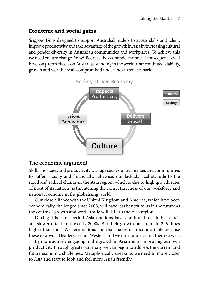#### <span id="page-15-0"></span>Economic and social gains

*Stepping Up* is designed to support Australia's leaders to access skills and talent, improve productivity and take advantage of the growth in Asia by increasing cultural and gender diversity in Australian communities and workplaces. To achieve this we need culture change. Why? Because the economic and social consequences will have long-term effects on Australia's standing in the world. Our continued viability, growth and wealth are all compromised under the current scenario.



#### **The economic argument**

Skills shortages and productivity wastage cause our businesses and communities to suffer socially and financially. Likewise, our lackadaisical attitude to the rapid and radical change in the Asia region, which is due to high growth rates of most of its nations, is threatening the competitiveness of our workforce and national economy in the globalising world.

Our close alliance with the United Kingdom and America, which have been economically challenged since 2008, will have less benefit to us in the future as the centre of growth and world trade will shift to the Asia region.

During this same period Asian nations have continued to climb – albeit at a slower rate than the early 2000s. But their growth rates remain 2–3 times higher than most Western nations and that makes us uncomfortable because these new world leaders are not Western and we don't understand them so well.

By more actively engaging in the growth in Asia and by improving our own productivity through greater diversity we can begin to address the current and future economic challenges. Metaphorically speaking, we need to move closer to Asia and start to look and feel more Asian friendly.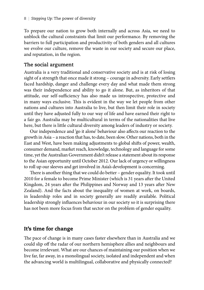<span id="page-16-0"></span>To prepare our nation to grow both internally and across Asia, we need to unblock the cultural constraints that limit our performance. By removing the barriers to full participation and productivity of both genders and all cultures we evolve our culture, remove the waste in our society and secure our place, and reputation, in the region.

#### **The social argument**

Australia is a very traditional and conservative society and is at risk of losing sight of a strength that once made it strong – courage in adversity. Early settlers faced hardship, danger and challenge every day and what made them strong was their independence and ability to go it alone. But, as inheritors of that attitude, our self-sufficiency has also made us introspective, protective and in many ways exclusive. This is evident in the way we let people from other nations and cultures into Australia to live, but then limit their role in society until they have adjusted fully to our way of life and have earned their right to a fair go. Australia may be multicultural in terms of the nationalities that live here, but there is little cultural diversity among leaders of industry or society.

Our independence and 'go it alone' behaviour also affects our reaction to the growth in Asia – a reaction that has, to date, been slow. Other nations, both in the East and West, have been making adjustments to global shifts of power, wealth, consumer demand, market reach, knowledge, technology and language for some time, yet the Australian Government didn't release a statement about its response to the Asian opportunity until October 2012. Our lack of urgency or willingness to roll up our sleeves and get involved in Asia's development is concerning.

There is another thing that we could do better – gender equality. It took until 2010 for a female to become Prime Minister (which is 31 years after the United Kingdom, 24 years after the Philippines and Norway and 13 years after New Zealand). And the facts about the inequality of women at work, on boards, in leadership roles and in society generally are readily available. Political leadership strongly influences behaviour in our society so it is surprising there has not been more focus from that sector on the problem of gender equality.

#### It's time for change

The pace of change is in many cases faster elsewhere than in Australia and we could slip off the radar of our northern hemisphere allies and neighbours and become irrelevant. What are our chances of maintaining our position when we live far, far away, in a monolingual society, isolated and independent and when the advancing world is multilingual, collaborative and physically connected?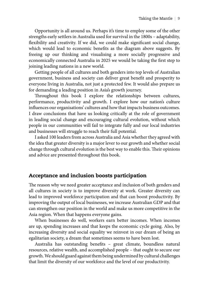<span id="page-17-0"></span>Opportunity is all around us. Perhaps it's time to employ some of the other strengths early settlers in Australia used for survival in the 1800s – adaptability, flexibility and creativity. If we did, we could make significant social change, which would lead to economic benefits as the diagram above suggests. By freeing up our thinking and visualising a more socially progressive and economically connected Australia in 2025 we would be taking the first step to joining leading nations in a new world.

Getting people of all cultures and both genders into top levels of Australian government, business and society can deliver great benefit and prosperity to everyone living in Australia, not just a protected few. It would also prepare us for demanding a leading position in Asia's growth journey.

Throughout this book I explore the relationships between cultures, performance, productivity and growth. I explore how our nation's culture influences our organisations' cultures and how that impacts business outcomes. I draw conclusions that have us looking critically at the role of government in leading social change and encouraging cultural evolution, without which people in our communities will fail to integrate fully and our local industries and businesses will struggle to reach their full potential.

I asked 100 leaders from across Australia and Asia whether they agreed with the idea that greater diversity is a major lever to our growth and whether social change through cultural evolution is the best way to enable this. Their opinions and advice are presented throughout this book.

#### Acceptance and inclusion boosts participation

The reason why we need greater acceptance and inclusion of both genders and all cultures in society is to improve diversity at work. Greater diversity can lead to improved workforce participation and that can boost productivity. By improving the output of local businesses, we increase Australian GDP and that can strengthen our position in the world and make us more competitive in the Asia region. When that happens everyone gains.

When businesses do well, workers earn better incomes. When incomes are up, spending increases and that keeps the economic cycle going. Also, by increasing diversity and social equality we reinvest in our dream of being an egalitarian society, a dream that sometimes seems to have been lost.

Australia has outstanding benefits – great climate, boundless natural resources, relative wealth, and accomplished people – that ought to secure our growth. We should guard against them being undermined by cultural challenges that limit the diversity of our workforce and the level of our productivity.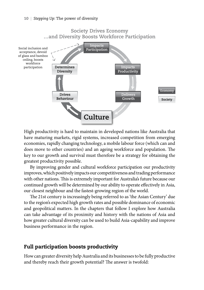<span id="page-18-0"></span>

High productivity is hard to maintain in developed nations like Australia that have maturing markets, rigid systems, increased competition from emerging economies, rapidly changing technology, a mobile labour force (which can and does move to other countries) and an ageing workforce and population. The key to our growth and survival must therefore be a strategy for obtaining the greatest productivity possible.

By improving gender and cultural workforce participation our productivity improves, which positively impacts our competitiveness and trading performance with other nations. This is extremely important for Australia's future because our continued growth will be determined by our ability to operate effectively in Asia, our closest neighbour and the fastest-growing region of the world.

The 21st century is increasingly being referred to as 'the Asian Century' due to the region's expected high growth rates and possible dominance of economic and geopolitical matters. In the chapters that follow I explore how Australia can take advantage of its proximity and history with the nations of Asia and how greater cultural diversity can be used to build Asia-capability and improve business performance in the region.

#### Full participation boosts productivity

How can greater diversity help Australia and its businesses to be fully productive and thereby reach their growth potential? The answer is twofold: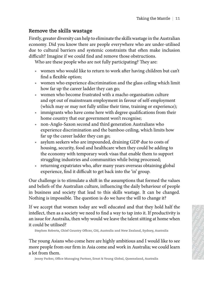#### **Remove the skills wastage**

Firstly, greater diversity can help to eliminate the skills wastage in the Australian economy. Did you know there are people everywhere who are under-utilised due to cultural barriers and systemic constraints that often make inclusion difficult? Imagine if we could find and remove those obstructions.

Who are these people who are not fully participating? They are:

- women who would like to return to work after having children but can't find a flexible option;
- women who experience discrimination and the glass ceiling which limit how far up the career ladder they can go;
- women who become frustrated with a macho organisation culture and opt out of mainstream employment in favour of self-employment (which may or may not fully utilise their time, training or experience);
- immigrants who have come here with degree qualifications from their home country that our government won't recognise;
- non-Anglo-Saxon second and third generation Australians who experience discrimination and the bamboo ceiling, which limits how far up the career ladder they can go;
- asylum seekers who are impounded, draining GDP due to costs of housing, security, food and healthcare when they could be adding to the economy with temporary work visas that enable them to support struggling industries and communities while being processed;
- returning expatriates who, after many years overseas obtaining global experience, find it difficult to get back into the 'in' group.

The strength of the skills wastage and the skills wastage and the skills wastage and the skills wastage in the stationary. Duly you know these are people excrysive who are under-united the control to control to the statio The court of the solarity control of the court of the control of the column of the column of the column of the column of the column of the column of the column of the column of the column of the column of the column of th Taking the Manthe | 11<br>
Firstly greater diversion include barrela of the column include of the make include the magnetic contents whose contents and displaced that of them and endow the duotes due to content of the make a Taking the Mante $|$ 11 <br/>Firstly grace diversity can help to chiminate chosen as a series contrast of the masker in<br>the could find and error to the solution difficult largeries of the could find and errors thus dost<br>ruc Taking the Mande | 11<br>
Siring the restrict diversity can help to eliminate the skills wastage in the Australian<br>
action condition alternative and systemic constrains that of ener make inclusion<br>
but the column larger same Taking the Mande | 11<br>
Sundy greater diversions yand plu o diminate threshills wastage in the chastralian<br>
care to column barriers and systemic constraints that of new masks when<br>the chasten of the column barriers and spe Training the Manite | 11<br>
21 uy concert diversion yangle to eliminate the skills wastage in the charaction<br>
to coultural barriers and systemic constraints that of the maske inclusion<br>
no call train the rise could find and Taking the Mantte | 11<br>
gray cord through the divergend product constraints that others made inclusion<br>
control buotes and systemic constraints that others made inclusion<br>
of the made inclusion of the made inclusion of the Taking the skills wastage<br>
The actual prices can by stems constrains that often make inclusion<br>column berries and systems constrains that often make inclusion<br>
calumn berrow these are people versywhere who are under unitie Taking the Mantle | 11<br>
21 that out also the properties and systems of the simulational barriers and systems of the simulational barriers and systems and stems of the simulational barriers and systems are these people who Traking the Mantle | 11<br>
the skulls was they are the prophe corrywhere who are not cherurilised<br>
or aly not how the are prophe constraints that other and correlations<br>
and the mass quotes Auoth and correlations and the con Taking the Mantle | 11<br> **Quotes Nuotes Auoth Case (a proprie constraints that often make traditionally and you know the act proprid constraints that often make traditionally and the mater product and the constrated values** Taking the Mantle  $|11$ <br>Solution also with the reprople everywhere who are under autilated<br>by harvers and systemic constraints that often make inclusion<br>the if we cond if that and remove these obstrates who served and the Taking the Mande | 11<br>
us know there are propise correspondent who are under-unisted to<br>
us the if we could include an an expecte Constantinum to the make inclusion<br>
in the word of and an eneroty colon to the make inclusio Taking the Montle | 11<br>
Itsily con help to climinate the skills wastage in the Australian<br>
know there are people evrop hose to the turbules diffused of<br>
five could find and emotion of the contrastinus.<br>
The could find and Taking the Mantle | 11<br>
so Wastage in thy ane prople over under units and the cuotes control and the cuotes control and the cuotes of the cuotes of the cuotes of the cuotes of the cuotes of the cuotes of the cuotes of the Taking the Mantle | 11<br>
was the are people everywhere who are under utilised<br>
as and systemic constraints that often make inclusion<br>
could find and remove those obstructions.<br>
Eve who are not fully participating? They are: Taking the Mantle | 11<br>
and the are prople overywhere who are under-ullised<br>
at and systemic constraints that oflen make inclusion<br>
could find and remove those obstructions.<br>
and the are not fully participaling? They are:<br> Taking the Mantle | 11<br>
the hotel propries evrolves who are under-utilised<br>
the reare people everywhere who are under-utilised<br>
und find and remove those obstructions.<br>
this coro control that particle propries observations Taking the Mantle | 11<br>tage<br>encer are people everywhere who are under-utilised<br>of systemic constrains that offer make inclusion<br>of dind and remove those obstructions.<br>Note of the make inclusion<br>of the dial creation and the Taking the Mantle | 11<br>
Signet contrathis that offer make inclusion<br>
systemic constraints that offer make inclusion<br>
find and remove those obstructions.<br>
are not fully participating? They are:<br>
to return to work after havi Taking the Mantle | 11<br>
2e<br>
to climinate the skills wastages in the Australian<br>
are people everywhere who are under-utilised<br>
and and remove those obstructions.<br>
re not fully participating? They are:<br>
re not fully particip Taking the Mantle | 11<br>
copole corrywhere who are under-utilised<br>
remic constraints that often make inclusion<br>
and remove those obstructions.<br>
and remove these obstructions<br>
cuotes obstructions and the glass celling which Taking the Mantle | 11<br>eliminate the skills wastage in the Australian<br>mic constraints that often make inclusion<br>mod remove those obstructions.<br>to fully participating? They are:<br>turn to work after having children but can't<br> Taking the Mantle | 11<br>
ic constraints that offer nake inclusion<br>
ic constraints that offer make inclusion<br>
d remove those obstructions.<br>
fully participating? They are:<br>
rn to work after having children but can't<br>
with a m Taking the Mantle | 11<br>
since everywhere who are under-utilised<br>
constraints that often make inclusion<br>
renove those obstructions.<br>
Ully participating? They are:<br>
to work after having children but can't<br>
inclusion and the Taking the Mantle | 11<br>
nate the skills wastage in the Australian<br>
nove those obstructions.<br>
hy participating? They are:<br>
words after having children but can't<br>
an mooy<br>
over After having children but can't<br>
an mooy<br>
and t te the skills wastage in the Australian<br>orcynywhere who are under-utilised<br>pore those obstructions.<br>porticipating? They are:<br>work after having children but can't<br>ion and the glass celling which limit<br>non and the glass cell the skills wastage in the Australian<br>verywhere who are under-utilised<br>traints that often make inclusion<br>we those obstructions.<br>The articular and the glass celling which limit<br>and and the glass celling which limit<br>or and th ne skills wastage in the Australian<br>aints that often make inclusion<br>those obstructions.<br>ticipating? They are:<br>k after having children but can't<br>and the glass ceiling which limit<br>and the glass ceiling which limit<br>is,<br>and th Taking the Mantle | 11<br>
skills wastage in the Australian<br>
more who are under-utilised<br>
mose obstructions.<br>
cipating? They are:<br>
after having children but can't<br>
after having conditions of the minister of the processes cal dlls wastage in the Australian<br>
she she she she she inclusion<br>
she she she structions.<br>
parameter and the glass celling which limit<br>
no organisation culture<br>
from the glass celling which limit<br>
no organisation culture<br>
fro Taking the Mantle | 11<br>
Ils wastage in the Australian<br>
ere who are under-utilised<br>
that often make inclusion<br>
that offen make inclusion<br>
operations Cuotes Cuotes Cuotes Cuotes Qualifications from their<br>
expansion culture<br> wastage in the Australian<br>e who are under-utilised<br>obstructions.<br>mg? They are:<br>having children but can't<br>glass ceiling which limit<br>rganisation culture<br>training or experience);<br>ualifications from their<br>princes;<br>Australians astage in the Australian<br>who are under-utilised<br>often make inclusion<br>structions.<br><br>The more construent and the construent and the proposeding puon their<br>ise;<br>is diffections from their<br>ise;<br>were def-employment<br>proposed and t tage in the Australian<br>ho are under-utilised<br>often make inclusion<br>ructions.<br>They are:<br>ing children but can't<br>ss ceiling which limit<br>insation culture<br>of self-employment<br>ing or experience);<br>fications from their<br>e;<br>tralians w q in the Australian<br>
o are under-utilised<br>
ten make inclusion<br>
hey are:<br>
g children but can't<br>
ceiling which limit<br>
sation culture<br>
self-employment<br>
mg or experience);<br>
cations from their<br>
ralians who<br>
which limits how<br>
wh e in the Australian<br>
are under-utilised<br>
n make inclusion<br>
tions.<br>
ey are:<br>
children but can't<br>
eiling which limit<br>
tion culture<br>
eif-employment<br>
or or experience);<br>
ions from their<br>
lians who<br>
et to costs of<br>
de adding to n the Australian<br>
e under-utilised<br>
make inclusion<br>
ing which limit<br>
on culture<br>
-employment<br>
remployment<br>
remployment<br>
remployment<br>
remployment<br>
to costs of<br>
be adding to<br>
to costs of<br>
be adding to<br>
to costs of<br>
be adding nake inclusion<br>
s.<br>
er:<br>
dren but can't<br>
ng which limit<br>
n culture<br>
employment<br>
experience);<br>
s from their<br>
s who<br>
limits how<br>
costs of<br>
adding to<br>
to support<br>
is adding to<br>
to support<br>
neglod<br>
need the values<br>
is a thome Our challenge is to stimulate a shift in the assumptions that formed the values and beliefs of the Australian culture, influencing the daily behaviour of people in business and society that lead to this skills wastage. It can be changed. Nothing is impossible. The question is do we have the will to change it?

If we accept that women today are well educated and that they hold half the intellect, then as a society we need to find a way to tap into it. If productivity is an issue for Australia, then why would we leave the talent sitting at home when it could be utilised?

Stephen Roberts, Chief Country Officer, Citi, Australia and New Zealand, Sydney, Australia

The young Asians who come here are highly ambitious and I would like to see more people from our firm in Asia come and work in Australia; we could learn a lot from them.

Jenny Parker, Office Managing Partner, Ernst & Young Global, Queensland, Australia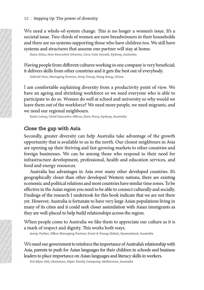We need a whole-of-system change. This is no longer a women's issue. It's a societal issue. Two-thirds of women are now breadwinners in their households and there are no systems supporting those who have children too. We still have systems and structures that assume one partner will stay at home.

Ilana Atlas, Non-Executive Director, Coca-Cola Amatil, Sydney, Australia

Having people from different cultures working in one company is very beneficial; it delivers skills from other countries and it gets the best out of everybody.

Gabriel Yam, Managing Partner, Arup Group, Hong Kong, China

I am comfortable explaining diversity from a productivity point of view. We have an ageing and shrinking workforce so we need everyone who is able to participate to do so. Women do well at school and university so why would we leave them out of the workforce? We need more people, we need migrants, and we need our regional neighbours.

Katie Lahey, Chief Executive Officer, Korn Ferry, Sydney, Australia

#### **Close the gap with Asia**

Secondly, greater diversity can help Australia take advantage of the growth opportunity that is available to us in the north. Our closest neighbours in Asia are opening up their thriving and fast-growing markets to other countries and foreign businesses. We can be among those who respond to their need for infrastructure development, professional, health and education services, and food and energy resources.

12 | Steppin<br>
societal issues and there are societal issues and there are systems and there are systems and there are systems and there are duotes  $\frac{1}{2}$  and  $\frac{1}{2}$  and  $\frac{1}{2}$  and  $\frac{1}{2}$  and  $\frac{1}{2}$  and  $\frac{$ 12 | Stepping<br>
societal issue<br>
and there are assetmes and<br>
societal issue<br>
and there are systems and<br>
lana Atlas,<br>
Having peopt<br>
it delivers sk<br>
cabriel Yam<br>
Tam comfor have an age<br>
participate the secondus quotes  $\frac{1}{2$ 12 | Stepping Up:<br>
We need a who<br>
societal issue. Two and three are no<br>
systems and strum and strum<br>
lana Atlas, Non-1<br>
Having people fricted burst and structure of the capacited Yum, Man<br>
I am comfortable have an ageing 12 | Stepping<br>
We need a vertical issue<br>
and there are<br>
systems and s<br>
lana Atlas, N<br>
Having peopl<br>
it delivers skill<br>
cabriel Yam,<br>
abriel Yam,<br>
abriel Yam,<br>
I am comfort have an ageir<br>
participate to<br>
become an ageir<br>
p 12 | Stepping Up:<br>
We need a who societal issue. Two and three are no systems and strue Than Atlas, Non-E<br>
Having people free it delivers skills find a Atlas, Non-E<br>
Having people free it delivers skills find a Atlas Muon 12 | Stepping Up: TI<br>
We need a whole<br>
societal issue. Two<br>
and there are no sy<br>
systems and structe are no systems and structes Auls fro<br>
darbid Yam, Manag<br>  $\frac{1}{2}$   $\frac{1}{2}$   $\frac{1}{2}$   $\frac{1}{2}$  and comfortable<br>
have a 12 | Stepping Up: The p<br>
societal issue. Two-thi<br>
and there are no systems and structures<br>  $\frac{1}{2}$  than a Atlas, Non-Executive<br>
Having people from di<br>
it delivers skills from o<br>
Gabriel Yam, Managing P<br>
I am comfortable 12 | Stepping Up: The po<br>
societal issue. Two-thir<br>
and there are no systems and structures<br>
stams and staure. The skills from other<br>
Having people from diff<br>
it delivers skills from other<br>
cabriel Yam, Managing Pa<br>
1 am 12 | Stepping Up: The power<br>
societal issue. Two-thirds of<br>
and there are no systems suy<br>
systems and structures that<br>
systems and structures that<br>
Having people from different<br>
idelivers skills from other cabriel Yam, Ma 12 | Stepping Up: The pow<br>
societal issue. Two-third<br>
and there are no systems systems and structures the man Atlas, Non-Executive<br>
Having people from different different different different different different different 12 | Stepping Up: The power We need a whole-of-system solutions and structures that systems and structures that man altas, Non-Executive Direction Hana altas, Non-Executive Direction (Hana altas Altan Exception different 12 | Stepping Up: The power of We need a whole-of-system societal issue. Two-thirds of vystems and structures that a visual man adas, Non-Executive Direct Lat divers skills from other contributes and structures that diver 12 | Stepping Up: The power of divoral societal issue. Two-thirds of woom and three are no systems supportions supportions are also systems and structures that assum an and stand than Managing Partner,  $G$  Having people f 12 | Stepping Up: The power of dive<br>
societal issue. Two-thirds of womes<br>
and there are no systems supporting<br>
systems and structures that assum<br>
than adas, Non-Executive Director, Coce<br>
Having people from different cultu 12 | Stepping Up: The power of diversity We need a whole-of-system change. societal sissue. Two - thirds of women are and structures that assume on than adia, non-needwe Director, coor-cola Having people from different cu 12 | Stepping Up: The power of diveraguoted and the care to obstem and the same of systems apporting supposed and the summa datas, Nom-Executive Director, Coca-Having people from different culture it divers skills from ot 12 | Stepping Up: The power of diversity We need a whole-of-system change. Societal sissue, I Wo-chinds of women are and structures puolitical systems and structures that assume on tinna adias, Non-Research Director, Goen 12 | Stepping Up: The power of diversity We need a whole-of-system change. The solutions and structures that assume one and structures that assume one systems and a fixed transcense and structures and stand the same of th 12 | Steeping Qp: The power of diversity We need a whole-of-system change. This societal sisue. Two-thirds of women are now and there are no systems supporting those we systems and stant and the actuative burston change t 12 | Stepping Up: The power of diversity We need a whole-of-system change. This is societed assue Two-thirds of women are now and structures that assume one particular sum adian Non-tzecutive Director, co-n-cola amall, Ha 12 | Stepping Up: The power of diversity We need a whole-of-system change. This is no societaal issue. Two-thirds of women are now bread and there are no systems and priceles and is a stame one partner where where where a 12 | Stepping Up: The power of diversity We need a whole-of-system change. This is societal issue. Two-thirds of women are now be and there are no systems and structures that assume one partners are apartners than a than 12 Stepping Up: The power of diversity We need a whole-of-system change. This is no societal sisue. Two-thirds of women are now breased and there are no systems and structures that assume one partner winns also, Non-Seesu 12 : Stepping Up: The power of diversity We need a whole-of-system change. This is no loosted and three are to systems supporting those who have a supportional systems and structures that assume one partner will line ands 12 | Stepping Up: The power of diversity We need a whole-of-system change. This is no longeodocidal issue. Two-thirds of women are now breadwin and three are no systems and structures that assume one partner will stag man 12 | Stepping Op: The power of diversity We need a whole-of-system change. This is no longer societed lisses. Two chirds of women are now breadwinnar and there are no systems supporting those who have chird systems and st 12 | Stepping Up: The power of diversity<br>
We noc<br/>d a whole-of-system samples This is no longer a woodered indices due to systems and<br/>parture tes to some whole whole there are also assume the systems and structures 12 | Stepping Up: The power of diversity We need a whole-of-system change. This is no longer societal issue. Two chirds of woomen are none partner well stay and structures that assume one partner well stay and structures 12 | Stepping Up: The prower of diversity<br>
We need a whole-of-system sample, This is no longer a woodcatel issue. Two-thirds of women are now breadwinners in<br>
and there are no systems samplemptons who more cumpany assues 12 | Steeping Up: The power of diversity We need a whole-of-system change. This is no longer a word and structures that assume one parture will stay at the state diversion and structures that assume one parture will stay 12 | Stepping Up: The power of diversity<br>
We need a whole-of-system change. This is no longer a women<br>
societable all ventures that assume one partner will stay at bone<br>
and there are no systems any proprime more partner 12 | Steepting Up: The power of diversity We need a whole of system change. This is no longer a womenting the<br>state like succes Unitering of the systems supporting those who have child<br>then too. Systems and structures tha 12 | Stepping Up: The power of diversity<br>
We need a whole control stans and simulated women are now bendeminerar in their host control<br>
and then care more systems supporting those who have children too. We stay<br>
such also 12 | Stepping Up: The power of diversity We need a whole-of-system change. This is no longer a women in their social solute. The chirch soft women are now breadwithers in their and there are no systems supporting those wh 12 | Stepping Up: The power of diversio<br/>y (Mis is no longer a women's issue column and structures that assume on<br/>we breakdown and the fractures Uubits Quotes Quotes Quotes Auotics Quotes <br/>and an axial structur 12 | Sterping Gp: The power of divensity<br>
We need a whole-of-system change. This is no longer a worrentive is<br>solicely also divented at voro third of Woombrane now breadedwinnes in the<br>interactions (and interactions due a Australia has advantages in Asia over many other developed countries. It's geographically closer than other developed Western nations, there are existing economic and political relations and most countries have similar time zones. To be effective in the Asian region you need to be able to connect culturally and socially. Findings of the research I undertook for this book indicate that we are not there yet. However, Australia is fortunate to have very large Asian populations living in many of its cities and it could seek closer assimilation with Asian immigrants as they are well-placed to help build relationships across the region.

When people come to Australia we like them to appreciate our culture as it is a mark of respect and dignity. This works both ways.

Jenny Parker, Office Managing Partner, Ernst & Young Global, Queensland, Australia

We need our government to reinforce the importance of Australia's relationship with Asia, parents to push for Asian languages for their children in schools and business leaders to place importance on Asian languages and literacy skills in workers.

Sid Myer AM, Chairman, Myer Family Company, Melbourne, Australia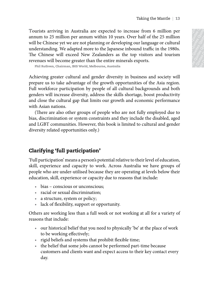<span id="page-21-0"></span>Tourists arriving in Australia are expected to increase from 6 million per annum to 25 million per annum within 10 years. Over half of the 25 million will be Chinese yet we are not planning or developing our language or cultural understanding. We adapted more to the Japanese inbound traffic in the 1980s. The Chinese will exceed New Zealanders as the top visitors and tourism revenues will become greater than the entire minerals exports.

Phil Ruthven, Chairman, IBIS World, Melbourne, Australia

Tourists arriving in Australia are expected to increase from 6 million per annum without the Chinese per and pair and the pair of a million will be Chinese the system of the system of a million understanding. We adapted m Toutists arriving in Australia are capceted to increase from 6 millions por assumm to 25 million per announ within 10 years. Over half of the 25 collinated moderation per algorithm content and period Nucleon and the colli To<br>units a fraction per samuel within 10 years. Over half of the 25 million per samuel with the control in the control in the control in the control in the control in the control in the control in the control in the contr Taking the Manche 13<br>
Taking not ally the parameterization (19 parameterization (19 parameterization) (19 and 20 and 00 and 20 and<br>
will be Chinese yet to are not planning or developing our language or cultural<br>
The Chine To<br>almost a region of the most controllated in the system of the 25 million parameteris (the controllated the controllate and the controllate of the most controllated in the system of the controllate of the most controlla Training an Australia are expected to increase from 6 million per<br>non to 28 million per scanned within 10 years. Ore half of the 25 million<br>the columns of the computer of the properties duotes and scannes Cuotes Cuotes Qu Training in Australia are expected to increase from 6 million per controll of the 25 million of the 25 million of the 25 million of the 25 million of the Chorins Cyre has million to the 1980s.<br>
Chines will exceed New Zeel Taking the Mantte | 13<br>
to too 25 million por tanonum within 10 years. Over half of the 25 million can to a million to a control of the 10 spaces incloud marker in the 1980s.<br>
2. Chinese yelf exceed New Zealanderrs as the Taking the Mantralia are expected to increase from 6 million per anom within the para Cover half of the 25 million per alternation (We adopted member the lapanese inhoden driffic in the 1980s, so the top visitors and touri Taking the Mantle  $\parallel$  13<br>
225 and<br/>llon per annum within 10 years. Over half of the 25 million per annum<br>
ording<br/>axe or two two proposes inbound rtdift: in the 1980s. See the large derivative duotes the<br/>duotes Training in Australia are expected to increase from 6 million per same within 10 years. Over half of the 25 million are same to the Igranese who und of the 25 million and the same in the Igrances who undersigned more to t Taking the Mantle | 13<br>
million per anoun within 10 years. Over half of the 25 million per<br>
gy. We adapted more to the lapance information traffic, in the 1980s.<br>
several correlation the total papare difficultiers and tou Taking the Mantle  $|13$ <br>
2011[00] per annum within 10 years. Over half of the 25 nullion<br>
1) yeak was a correl parametial por excellence and touthis mathematical<br>
will exceed New Zealanders as the top visitors and toutism Taking the Mantle | 13<br>
Using the rare not painting or developing our singatge or coluital<br>
et we are not painting or developing our singatge or coluitative<br>
Using the correlation of the painting of the painting of the pai Taking the Montle | 13<br>
to meet an ore planning of developing on Paragongo caluation<br>
we are alote planning of developing on Paragongo caluation<br>
exceed New Zealanders as the top visions and tourism<br>
exceed New Zealanders Taking the Mantle | 13<br>
proper annum within 10 years. Over half of the 25 million<br>
action detay Celos Quotes Quotes Quotes Quotes Quotes Quotes Quotes Quotes Quotes Quotes Quotes Quotes Quotes Quotes Quotes Quotes Quotes Q Taking the Mantle | 13<br>
The mention parameterion of the applicance column and the mention and parameterion and parameterion and the soleced New Zealanders as the top visitors and tourism<br>
geneed New Zealanders as the top v Taking the Mantle | 13<br>
rar annum within 10 years. Over half of the 25 million<br>
re not planing or developing our longuote crollural<br>
rad New Zealanders as the top visitors and tourism<br>
related New Zealanders as the top vis Taking the Mantle | 13<br>
and many more to the Japanese inbound traffic in the 1980s.<br>
New Zealanders as the top visitors and tourism<br>
New Zealanders as the stop visitors and tourism<br>
New Zealanders as the stop visitors and Taking the Mantle | 13<br>
runum within 10 years. Over half of the 25 million<br>
or the funaming or developing our hanguage or cultural<br>
more to the fapanese inbound traffic in the 1980s,<br>
New Zealanders as the top visitors and Taking the Mantle | 13<br>
unm within 10 years. Over half of the 25 million<br>
planning or developing our language or cultural<br>
noror to the Japanese inbound retific in the 1980s,<br>
we Zealanders as the top visitors and tourism<br> Taking the Mantle | 13<br>
anre captural Diversion Cover Control of the 25 million<br>
anvienting or developing our language or cultural<br>
res to the Faparase inbound traffic in the 1980s.<br>
Zealanders as the top visitors and tour Taking the Mantle | 13<br>
within 10 years. Over half of the 25 million per<br>
uning or developing our language or cultural<br>
to the Japanese inbound traffic in the 1980s.<br>
Eccalanders as the top visitors and tourism<br>
the entire Taking the Mantle | 13<br>
expected to increase from 6 million per<br>
vithin 10 years. Over half of the 25 million<br>
on the danances inbound trafinic in the 1980s.<br>
Inder diversity in business and society will<br>
due are microsity Training the Mantle | 13<br>
ary receloping our largering or colluming or colluming or developing our largering our largering our largering<br>
the paparese inbound traffic in the 1980s.<br>
anders as the top visitors and tourism<br> Taking the Mantle | 13<br>
in 10 years. Over half of the 25 million per<br>
in 10 years. Over half of the 25 million<br>
ge praces in to positors and tourism<br>
eclipances as the top visitors and tourism<br>
entire minerals exports.<br>
en Taking the Mantle | 13<br>
10 years. Over half of the 25 million<br>
10 years. Over half of the 25 million<br>
Ispanses inbound traific in the 1980s.<br>
Alters as the top visitors and tourism<br>
Idiversity in business and society will<br> red to increase from 6 million per<br>
0 years. Over half of the 25 million<br>
developing our language or cultural<br>
reseming and soluot traffic in the 1980s.<br>
ire minerals exports.<br>
termineals exports and tourism<br>
the noportuni The intertance Cuotes Cuotes Cuotes Cuotes Cuotes Cuotes Cuotes (Auotes Cuotes Cuotes and the provides as the top visitors and tourism minerals exports.<br>
The minerals exports and tourism and tourism and the minerals export to increase from 6 million per<br>
elasts. Over half of the 25 million<br>
eloping our language or cultural<br>
est the top visitors and tourism<br>
sith top visitors and tourism<br>
inimerals exports.<br>
inimerals exports.<br>
inimerals expo Taking the Mantle  $\vert$  13<br>
increase from 6 million per<br>
rs. Over half of the 25 million<br>
oping our language or cultural<br>
the top visitors and tourism<br>
the top visitors and tourism<br>
perals exports.<br>
y in business and socie ncrease from 6 million per<br>
. Over half of the 25 million<br>
inbound traffic in the 1980s.<br>
in business and tourism<br>
in business and society will<br>
in business and society will<br>
trutnities of the Asia region.<br>
tural backgroun Taking the Mantle | 13<br>
Crease from 6 million per<br>
Over half of the 25 million<br>
mg our language or cultural<br>
bound traffic in the 1980s.<br>
top visitors and tourism<br>
als exports.<br>
business and society will<br>
tunities of the From the Case Cuotes Cuotes Cuotes Cuotes Cuotes Cuotes Cuotes Aurelian Captual Cuotes Aurelian Cuotes Cuotes Cuotes Cuotes Cuotes Cuotes Cuotes Cuotes Cuotes Cuotes Cuotes Cuotes Quotes Quotes Quotes Quotes Quotes Quotes  $\begin{aligned}\n\text{We note that} \text{ the function } \mathbf{p} & \text{ is a function of } \mathbf{p} & \text{ is a function of } \mathbf{p} & \text{ is a function of } \mathbf{p} & \text{ is a function of } \mathbf{p} & \text{ is a function of } \mathbf{p} & \text{ is a function of } \mathbf{p} & \text{ is a function of } \mathbf{p} & \text{ is a function of } \mathbf{p} & \text{ is a function of } \mathbf{p} & \text{ is a function of } \mathbf{p} & \text{ is a function of } \mathbf{p} & \text{ is a function of } \mathbf{p} & \text{ is a function of } \mathbf{p}$ half of the 25 million<br>
r language or cultural<br>
d traffic in the 1980s.<br>
visitors and tourism<br>
sports.<br>
mess and society will<br>
gports.<br>
mess and society will<br>
ges of the Asia region.<br>
ackgrounds and both<br>
ge, boost produc Transition per all the 25 million per large or cultural and goods and tourism that discussed the discussion and tourism of  $\frac{1}{2}$   $\frac{1}{2}$   $\frac{1}{2}$   $\frac{1}{2}$   $\frac{1}{2}$  and society will of the Asia region. Agrounds an For the 25 million aguage or cultural<br>
affic in the 1980s.<br>
tors and tourism<br>
the 1980s.<br>
the same discussed of the Asia region.<br>
same same discussions and both<br>
proved due to<br>
the disabled, aged<br>
elevel of education,<br>
lev metally on the million pertain of the 25 million and society and fit is also quotes and tourism and society will the Asia region.<br>
and society will the Asia region.<br>
and society will the Asia region.<br>
becomes and both ost Example and the 1980s.<br>
Example and tourism<br>
and tourism<br>
described Australian region.<br>
and society will<br>
described and both<br>
the productivity<br>
performance<br>
performance<br>
ployed due to<br>
disabled, aged<br>
disabled, aged<br>
disa **Example 2008**<br> **Example 2008**<br>
Auotion distribution distribution distribution distribution distribution<br>
and both productivity<br>
berformance<br>
oyed due to<br>
sabled, aged<br>
and gender<br>
of education,<br>
e groups of<br>
below their<br> the 1980s.<br>
d tourism<br>
d tourism<br>
d tourism<br>
sand both<br>
sand both<br>
coductivity<br>
ristand both<br>
coductivity<br>
ristands and performance<br>
eyed due to<br>
education,<br>
groups of<br>
elow their<br>
delow their<br>
their<br>
the of work<br>
the of Achieving greater cultural and gender diversity in business and society will prepare us to take advantage of the growth opportunities of the Asia region. Full workforce participation by people of all cultural backgrounds and both genders will increase diversity, address the skills shortage, boost productivity and close the cultural gap that limits our growth and economic performance with Asian nations.

(There are also other groups of people who are not fully employed due to bias, discrimination or system constraints and they include the disabled, aged and LGBT communities. However, this book is limited to cultural and gender diversity related opportunities only.)

#### Clarifying 'full participation'

'Full participation' means a person's potential relative to their level of education, skill, experience and capacity to work. Across Australia we have groups of people who are under-utilised because they are operating at levels below their education, skill, experience or capacity due to reasons that include:

- bias conscious or unconscious;
- racial or sexual discrimination;
- a structure, system or policy;
- lack of flexibility, support or opportunity.

Others are working less than a full week or not working at all for a variety of reasons that include:

- our historical belief that you need to physically 'be' at the place of work to be working effectively;
- rigid beliefs and systems that prohibit flexible time;
- the belief that some jobs cannot be performed part-time because customers and clients want and expect access to their key contact every day.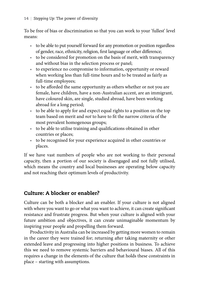<span id="page-22-0"></span>To be free of bias or discrimination so that you can work to your 'fullest' level means:

- to be able to put yourself forward for any promotion or position regardless of gender, race, ethnicity, religion, first language or other difference;
- to be considered for promotion on the basis of merit, with transparency and without bias in the selection process or panel;
- to experience no compromise to information, opportunity or reward when working less than full-time hours and to be treated as fairly as full-time employees;
- to be afforded the same opportunity as others whether or not you are female, have children, have a non-Australian accent, are an immigrant, have coloured skin, are single, studied abroad, have been working abroad for a long period;
- • to be able to apply for and expect equal rights to a position on the top team based on merit and *not* to have to fit the narrow criteria of the most prevalent homogenous groups;
- to be able to utilise training and qualifications obtained in other countries or places;
- to be recognised for your experience acquired in other countries or places.

If we have vast numbers of people who are not working to their personal capacity, then a portion of our society is disengaged and not fully utilised, which means the country and local businesses are operating below capacity and not reaching their optimum levels of productivity.

#### Culture: A blocker or enabler?

Culture can be both a blocker and an enabler. If your culture is not aligned with where you want to go or what you want to achieve, it can create significant resistance and frustrate progress. But when your culture is aligned with your future ambition and objectives, it can create unimaginable momentum by inspiring your people and propelling them forward.

Productivity in Australia can be increased by getting more women to remain in the career they were trained for; returning after taking maternity or other extended leave and progressing into higher positions in business. To achieve this we need to remove systemic barriers and behavioural biases. All of this requires a change in the elements of the culture that holds these constraints in place – starting with assumptions.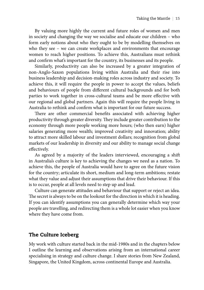<span id="page-23-0"></span>By valuing more highly the current and future roles of women and men in society and changing the way we socialise and educate our children – who form early notions about who they ought to be by modelling themselves on who they see – we can create workplaces and environments that encourage women to reach higher positions. To achieve this, Australians must rethink and confirm what's important for the country, its businesses and its people.

Similarly, productivity can also be increased by a greater integration of non-Anglo-Saxon populations living within Australia and their rise into business leadership and decision-making roles across industry and society. To achieve this, it will require the people in power to accept the values, beliefs and behaviours of people from different cultural backgrounds and for both parties to work together in cross-cultural teams and be more effective with our regional and global partners. Again this will require the people living in Australia to rethink and confirm what is important for our future success.

There are other commercial benefits associated with achieving higher productivity through greater diversity. They include greater contribution to the economy through more people working more hours; (who then earn) higher salaries generating more wealth; improved creativity and innovation; ability to attract more skilled labour and investment dollars; recognition from global markets of our leadership in diversity and our ability to manage social change effectively.

As agreed by a majority of the leaders interviewed, encouraging a shift in Australia's culture is key to achieving the changes we need as a nation. To achieve this, the people of Australia would have to agree on the future vision for the country; articulate its short, medium and long-term ambitions; restate what they value and adjust their assumptions that drive their behaviour. If this is to occur, people at all levels need to step up and lead.

Culture can generate attitudes and behaviour that support or reject an idea. The secret is always to be on the lookout for the direction in which it is heading. If you can identify assumptions you can generally determine which way your people are travelling, and redirecting them is a whole lot easier when you know where they have come from.

#### The Culture Iceberg

My work with culture started back in the mid-1980s and in the chapters below I outline the learning and observations arising from an international career specialising in strategy and culture change. I share stories from New Zealand, Singapore, the United Kingdom, across continental Europe and Australia.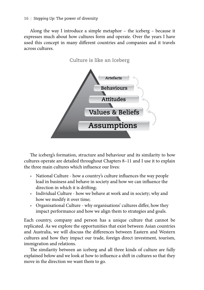Along the way I introduce a simple metaphor – the iceberg – because it expresses much about how cultures form and operate. Over the years I have used this concept in many different countries and companies and it travels across cultures.



The iceberg's formation, structure and behaviour and its similarity to how cultures operate are detailed throughout Chapters 8–11 and I use it to explain the three main cultures which influence our lives:

- National Culture how a country's culture influences the way people lead in business and behave in society and how we can influence the direction in which it is drifting;
- Individual Culture how we behave at work and in society; why and how we modify it over time;
- Organisational Culture why organisations' cultures differ, how they impact performance and how we align them to strategies and goals.

Each country, company and person has a unique culture that cannot be replicated. As we explore the opportunities that exist between Asian countries and Australia, we will discuss the differences between Eastern and Western cultures and how they impact our trade, foreign direct investment, tourism, immigration and relations.

The similarity between an iceberg and all three kinds of culture are fully explained below and we look at how to influence a shift in cultures so that they move in the direction we want them to go.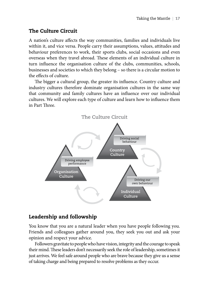#### <span id="page-25-0"></span>The Culture Circuit

A nation's culture affects the way communities, families and individuals live within it, and vice versa. People carry their assumptions, values, attitudes and behaviour preferences to work, their sports clubs, social occasions and even overseas when they travel abroad. These elements of an individual culture in turn influence the organisation culture of the clubs, communities, schools, businesses and societies to which they belong – so there is a circular motion to the effects of culture.

The bigger a cultural group, the greater its influence. Country culture and industry cultures therefore dominate organisation cultures in the same way that community and family cultures have an influence over our individual cultures. We will explore each type of culture and learn how to influence them in Part Three.



#### Leadership and followship

You know that you are a natural leader when you have people following you. Friends and colleagues gather around you, they seek you out and ask your opinion and respect your advice.

Followers gravitate to people who have vision, integrity and the courage to speak their mind. These leaders don't necessarily seek the role of leadership, sometimes it just arrives. We feel safe around people who are brave because they give us a sense of taking charge and being prepared to resolve problems as they occur.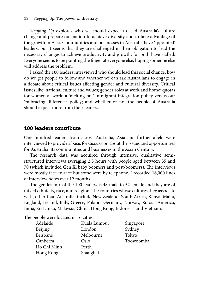<span id="page-26-0"></span>*Stepping Up* explores who we should expect to lead Australia's culture change and prepare our nation to achieve diversity and to take advantage of the growth in Asia. Communities and businesses in Australia have 'appointed' leaders, but it seems that they are challenged in their obligation to lead the necessary changes to achieve productivity and growth, for both have stalled. Everyone seems to be pointing the finger at everyone else, hoping someone else will address the problem.

I asked the 100 leaders interviewed who should lead this social change, how do we get people to follow and whether we can ask Australians to engage in a debate about critical issues affecting gender and cultural diversity. Critical issues like: national culture and values; gender roles at work and home; quotas for women at work; a 'melting-pot' immigrant integration policy versus our 'embracing difference' policy; and whether or not the people of Australia should expect more from their leaders.

#### 100 leaders contribute

One hundred leaders from across Australia, Asia and further afield were interviewed to provide a basis for discussion about the issues and opportunities for Australia, its communities and businesses in the Asian Century.

The research data was acquired through intensive, qualitative semistructured interviews averaging 2.5 hours with people aged between 35 and 70 (which included Gen X, baby boomers and post-boomers). The interviews were mostly face-to-face but some were by telephone. I recorded 16,000 lines of interview notes over 12 months.

The gender mix of the 100 leaders is 48 male to 52 female and they are of mixed ethnicity, race, and religion. The countries whose cultures they associate with, other than Australia, include New Zealand, South Africa, Kenya, Malta, England, Ireland, Italy, Greece, Poland, Germany, Norway, Russia, America, India, Sri Lanka, Malaysia, China, Hong Kong, Indonesia and Vietnam.

The people were located in 16 cities:

| Adelaide       | Kuala Lumpur | Singapore |
|----------------|--------------|-----------|
|                | London       |           |
| <b>Beijing</b> |              | Sydney    |
| Brisbane       | Melbourne    | Tokyo     |
| Canberra       | Oslo         | Toowoomba |
| Ho Chi Minh    | Perth        |           |
| Hong Kong      | Shanghai     |           |
|                |              |           |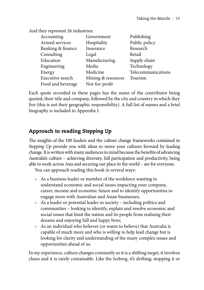<span id="page-27-0"></span>And they represent 26 industries:

| Accounting        | Government         | Publishing         |
|-------------------|--------------------|--------------------|
| Armed services    | Hospitality        | Public policy      |
| Banking & finance | Insurance          | Research           |
| Consulting        | Legal              | Retail             |
| Education         | Manufacturing      | Supply chain       |
| Engineering       | Media              | Technology         |
| Energy            | Medicine           | Telecommunications |
| Executive search  | Mining & resources | Tourism            |
| Food and beverage | Not-for-profit     |                    |

Each quote recorded in these pages has the name of the contributor being quoted, their title and company, followed by the city and country in which they live (this is not their geographic responsibility). A full list of names and a brief biography is included in Appendix I.

#### Approach to reading *Stepping Up*

The insights of the 100 leaders and the culture change frameworks contained in *Stepping Up* provide you with ideas to move your cultures forward by leading change. It is written with many audiences in mind because the benefits of advancing Australia's culture – achieving diversity, full participation and productivity, being able to work across Asia and securing our place in the world – are for everyone.

You can approach reading this book in several ways:

- As a business leader or member of the workforce wanting to understand economic and social issues impacting your company, career, income and economic future and to identify opportunities to engage more with Australian and Asian businesses;
- As a leader or potential leader in society including politics and communities – looking to identify, explain and resolve economic and social issues that limit the nation and its people from realising their dreams and enjoying full and happy lives;
- • As an individual who believes (or wants to believe) that Australia is capable of much more and who is willing to help lead change but is looking for clarity and understanding of the many complex issues and opportunities ahead of us.

In my experience, culture changes constantly so it is a shifting target, it involves chaos and it is rarely containable. Like the Iceberg, it's drifting; stopping it or